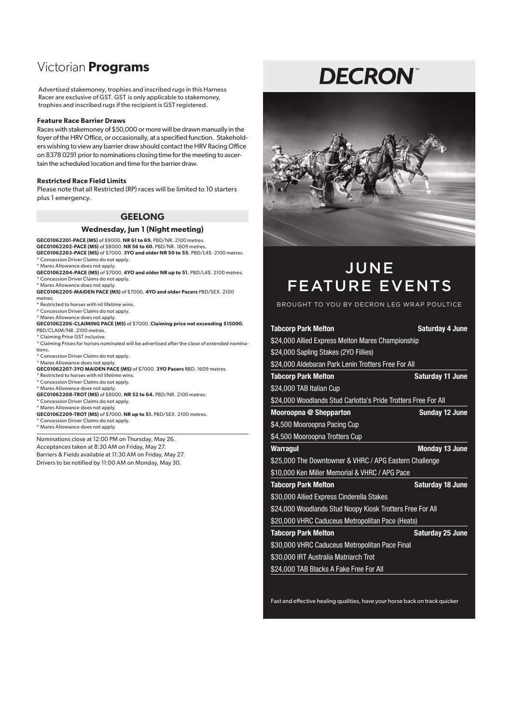# Victorian **Programs**

Advertised stakemoney, trophies and inscribed rugs in this Harness Racer are exclusive of GST. GST is only applicable to stakemoney, trophies and inscribed rugs if the recipient is GST registered.

#### **Feature Race Barrier Draws**

Races with stakemoney of \$50,000 or more will be drawn manually in the foyer of the HRV Office, or occasionally, at a specified function. Stakeholders wishing to view any barrier draw should contact the HRV Racing Office on 8378 0291 prior to nominations closing time for the meeting to ascertain the scheduled location and time for the barrier draw.

#### **Restricted Race Field Limits**

Please note that all Restricted (RP) races will be limited to 10 starters plus 1 emergency.

### **GEELONG**

#### **Wednesday, Jun 1 (Night meeting)**

**GEC01062201-PACE (MS)** of \$9000. **NR 61 to 69.** PBD/NR. 2100 metres. **GEC01062202-PACE (MS)** of \$8000. **NR 56 to 60.** PBD/NR. 1609 metres. **GEC01062203-PACE (MS)** of \$7000. **3YO and older NR 50 to 55.** PBD/L4\$. 2100 metres.

\* Concession Driver Claims do not apply.

\* Mares Allowance does not apply.

**GEC01062204-PACE (MS)** of \$7000. **4YO and older NR up to 51.** PBD/L4\$. 2100 metres. \* Concession Driver Claims do not apply.

\* Mares Allowance does not apply.

**GEC01062205-MAIDEN PACE (MS)** of \$7000. **4YO and older Pacers** PBD/SEX. 2100 metres.

\* Restricted to horses with nil lifetime wins.

\* Concession Driver Claims do not apply. \* Mares Allowance does not apply.

**GEC01062206-CLAIMING PACE (MS)** of \$7000. **Claiming price not exceeding \$15000.** PBD/CLAIM/NR. 2100 metres. \* Claiming Price GST inclusive.

- \* Claiming Prices for horses nominated will be advertised after the close of extended nominations.
- \* Concession Driver Claims do not apply. \* Mares Allowance does not apply.
- **GEC01062207-3YO MAIDEN PACE (MS)** of \$7000. **3YO Pacers** RBD. 1609 metres.
- \* Restricted to horses with nil lifetime wins.
- \* Concession Driver Claims do not apply.
- \* Mares Allowance does not apply.
- **GEC01062208-TROT (MS)** of \$8000. **NR 52 to 64.** PBD/NR. 2100 metres.
- \* Concession Driver Claims do not apply. \* Mares Allowance does not apply.
- **GEC01062209-TROT (MS)** of \$7000. **NR up to 51.** PBD/SEX. 2100 metres.

\* Concession Driver Claims do not apply. \* Mares Allowance does not apply.

Nominations close at 12:00 PM on Thursday, May 26. Acceptances taken at 8:30 AM on Friday, May 27. Barriers & Fields available at 11:30 AM on Friday, May 27. Drivers to be notified by 11:00 AM on Monday, May 30.

# **DECRON**



# JUNE FEATURE EVENTS

BROUGHT TO YOU BY DECRON LEG WRAP POULTICE

| <b>Tabcorp Park Melton</b>                                     | <b>Saturday 4 June</b>  |
|----------------------------------------------------------------|-------------------------|
| \$24,000 Allied Express Melton Mares Championship              |                         |
| \$24,000 Sapling Stakes (2YO Fillies)                          |                         |
| \$24,000 Aldebaran Park Lenin Trotters Free For All            |                         |
| <b>Tabcorp Park Melton</b>                                     | <b>Saturday 11 June</b> |
| \$24,000 TAB Italian Cup                                       |                         |
| \$24,000 Woodlands Stud Carlotta's Pride Trotters Free For All |                         |
| Mooroopna @ Shepparton                                         | <b>Sunday 12 June</b>   |
| \$4,500 Mooroopna Pacing Cup                                   |                         |
| \$4,500 Mooroopna Trotters Cup                                 |                         |
| <b>Warragul</b>                                                | <b>Monday 13 June</b>   |
| \$25,000 The Downtowner & VHRC / APG Eastern Challenge         |                         |
| \$10,000 Ken Miller Memorial & VHRC / APG Pace                 |                         |
| <b>Tabcorp Park Melton</b>                                     | <b>Saturday 18 June</b> |
| \$30,000 Allied Express Cinderella Stakes                      |                         |
| \$24,000 Woodlands Stud Noopy Kiosk Trotters Free For All      |                         |
| \$20,000 VHRC Caduceus Metropolitan Pace (Heats)               |                         |
| <b>Tabcorp Park Melton</b>                                     | <b>Saturday 25 June</b> |
| \$30,000 VHRC Caduceus Metropolitan Pace Final                 |                         |
| \$30,000 IRT Australia Matriarch Trot                          |                         |
| \$24,000 TAB Blacks A Fake Free For All                        |                         |

Fast and effective healing qualities, have your horse back on track quicker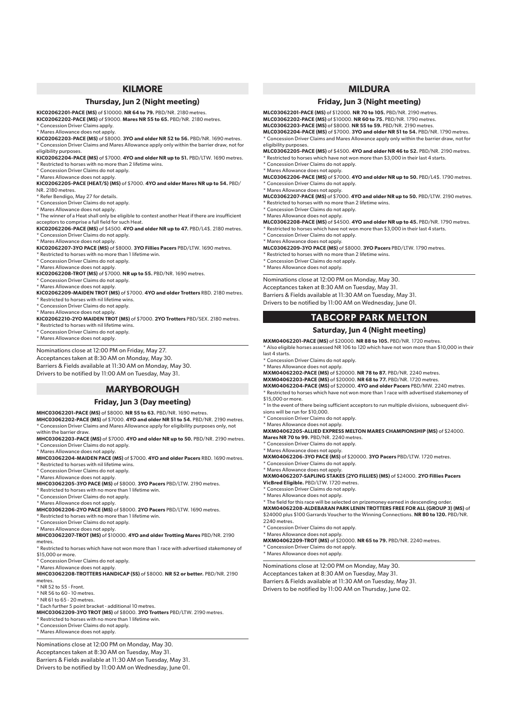# **KILMORE**

#### **Thursday, Jun 2 (Night meeting)**

**KIC02062201-PACE (MS)** of \$10000. **NR 64 to 79.** PBD/NR. 2180 metres.

**KIC02062202-PACE (MS)** of \$9000. **Mares NR 55 to 65.** PBD/NR. 2180 metres. \* Concession Driver Claims apply.

\* Mares Allowance does not apply.

**KIC02062203-PACE (MS)** of \$8000. **3YO and older NR 52 to 56.** PBD/NR. 1690 metres. \* Concession Driver Claims and Mares Allowance apply only within the barrier draw, not for eligibility purposes.

**KIC02062204-PACE (MS)** of \$7000. **4YO and older NR up to 51.** PBD/LTW. 1690 metres. \* Restricted to horses with no more than 2 lifetime wins.

\* Concession Driver Claims do not apply.

\* Mares Allowance does not apply.

**KIC02062205-PACE (HEAT/S) (MS)** of \$7000. **4YO and older Mares NR up to 54.** PBD/ NR. 2180 metres.

\* Refer Bendigo, May 27 for details.

\* Concession Driver Claims do not apply.

\* Mares Allowance does not apply.

\* The winner of a Heat shall only be eligible to contest another Heat if there are insufficient acceptors to comprise a full field for such Heat. **KIC02062206-PACE (MS)** of \$4500. **4YO and older NR up to 47.** PBD/L4\$. 2180 metres.

\* Concession Driver Claims do not apply. \* Mares Allowance does not apply.

**KIC02062207-3YO PACE (MS)** of \$8000. **3YO Fillies Pacers** PBD/LTW. 1690 metres.

\* Restricted to horses with no more than 1 lifetime win.

\* Concession Driver Claims do not apply.

\* Mares Allowance does not apply.

**KIC02062208-TROT (MS)** of \$7000. **NR up to 55.** PBD/NR. 1690 metres.

\* Concession Driver Claims do not apply.

\* Mares Allowance does not apply.

**KIC02062209-MAIDEN TROT (MS)** of \$7000. **4YO and older Trotters** RBD. 2180 metres. \* Restricted to horses with nil lifetime wins.

\* Concession Driver Claims do not apply.

\* Mares Allowance does not apply.

**KIC02062210-2YO MAIDEN TROT (MS)** of \$7000. **2YO Trotters** PBD/SEX. 2180 metres. \* Restricted to horses with nil lifetime wins.

\* Concession Driver Claims do not apply.

\* Mares Allowance does not apply.

Nominations close at 12:00 PM on Friday, May 27. Acceptances taken at 8:30 AM on Monday, May 30.

Barriers & Fields available at 11:30 AM on Monday, May 30.

Drivers to be notified by 11:00 AM on Tuesday, May 31.

# **MARYBOROUGH**

### **Friday, Jun 3 (Day meeting)**

**MHC03062201-PACE (MS)** of \$8000. **NR 55 to 63.** PBD/NR. 1690 metres. **MHC03062202-PACE (MS)** of \$7000. **4YO and older NR 51 to 54.** PBD/NR. 2190 metres. \* Concession Driver Claims and Mares Allowance apply for eligibility purposes only, not

within the barrier draw. **MHC03062203-PACE (MS)** of \$7000. **4YO and older NR up to 50.** PBD/NR. 2190 metres.

\* Concession Driver Claims do not apply.

\* Mares Allowance does not apply.

**MHC03062204-MAIDEN PACE (MS)** of \$7000. **4YO and older Pacers** RBD. 1690 metres. \* Restricted to horses with nil lifetime wins.

\* Concession Driver Claims do not apply.

\* Mares Allowance does not apply.

**MHC03062205-3YO PACE (MS)** of \$8000. **3YO Pacers** PBD/LTW. 2190 metres.

\* Restricted to horses with no more than 1 lifetime win.

\* Concession Driver Claims do not apply. \* Mares Allowance does not apply.

**MHC03062206-2YO PACE (MS)** of \$8000. **2YO Pacers** PBD/LTW. 1690 metres.

Restricted to horses with no more than 1 lifetime win.

\* Concession Driver Claims do not apply.

\* Mares Allowance does not apply.

**MHC03062207-TROT (MS)** of \$10000. **4YO and older Trotting Mares** PBD/NR. 2190 metres.

\* Restricted to horses which have not won more than 1 race with advertised stakemoney of \$15,000 or more.

\* Concession Driver Claims do not apply.

\* Mares Allowance does not apply.

**MHC03062208-TROTTERS HANDICAP (SS)** of \$8000. **NR 52 or better.** PBD/NR. 2190 metres.

\* NR 52 to 55 - Front.

\* NR 56 to 60 - 10 metres.

\* NR 61 to 65 - 20 metres. \* Each further 5 point bracket - additional 10 metres.

**MHC03062209-3YO TROT (MS)** of \$8000. **3YO Trotters** PBD/LTW. 2190 metres.

\* Restricted to horses with no more than 1 lifetime win. \* Concession Driver Claims do not apply.

\* Mares Allowance does not apply.

Nominations close at 12:00 PM on Monday, May 30. Acceptances taken at 8:30 AM on Tuesday, May 31. Barriers & Fields available at 11:30 AM on Tuesday, May 31. Drivers to be notified by 11:00 AM on Wednesday, June 01.

# **MILDURA**

### **Friday, Jun 3 (Night meeting)**

**MLC03062201-PACE (MS)** of \$12000. **NR 70 to 105.** PBD/NR. 2190 metres. **MLC03062202-PACE (MS)** of \$10000. **NR 60 to 75.** PBD/NR. 1790 metres.

**MLC03062203-PACE (MS)** of \$8000. **NR 55 to 59.** PBD/NR. 2190 metres. **MLC03062204-PACE (MS)** of \$7000. **3YO and older NR 51 to 54.** PBD/NR. 1790 metres. \* Concession Driver Claims and Mares Allowance apply only within the barrier draw, not for eligibility purposes.

**MLC03062205-PACE (MS)** of \$4500. **4YO and older NR 46 to 52.** PBD/NR. 2190 metres.  $*$  Restricted to horses which have not won more than  $$3,000$  in their last 4 starts.

\* Concession Driver Claims do not apply.

\* Mares Allowance does not apply. **MLC03062206-PACE (MS)** of \$7000. **4YO and older NR up to 50.** PBD/L4\$. 1790 metres. \* Concession Driver Claims do not apply.

\* Mares Allowance does not apply. **MLC03062207-PACE (MS)** of \$7000. **4YO and older NR up to 50.** PBD/LTW. 2190 metres. \* Restricted to horses with no more than 2 lifetime wins.

\* Concession Driver Claims do not apply.

\* Mares Allowance does not apply.

**MLC03062208-PACE (MS)** of \$4500. **4YO and older NR up to 45.** PBD/NR. 1790 metres.

 $^{\star}$  Restricted to horses which have not won more than \$3,000 in their last 4 starts. \* Concession Driver Claims do not apply.

\* Mares Allowance does not apply.

**MLC03062209-3YO PACE (MS)** of \$8000. **3YO Pacers** PBD/LTW. 1790 metres.

\* Restricted to horses with no more than 2 lifetime wins. \* Concession Driver Claims do not apply.

\* Mares Allowance does not apply.

Nominations close at 12:00 PM on Monday, May 30. Acceptances taken at 8:30 AM on Tuesday, May 31. Barriers & Fields available at 11:30 AM on Tuesday, May 31. Drivers to be notified by 11:00 AM on Wednesday, June 01.

# **TABCORP PARK MELTON**

#### **Saturday, Jun 4 (Night meeting)**

**MXM04062201-PACE (MS)** of \$20000. **NR 88 to 105.** PBD/NR. 1720 metres. \* Also eligible horses assessed NR 106 to 120 which have not won more than \$10,000 in their last 4 starts.

\* Concession Driver Claims do not apply.

\* Mares Allowance does not apply.

**MXM04062202-PACE (MS)** of \$20000. **NR 78 to 87.** PBD/NR. 2240 metres.

**MXM04062203-PACE (MS)** of \$20000. **NR 68 to 77.** PBD/NR. 1720 metres.

**MXM04062204-PACE (MS)** of \$20000. **4YO and older Pacers** PBD/MW. 2240 metres. \* Restricted to horses which have not won more than 1 race with advertised stakemoney of \$15,000 or more.

\* In the event of there being sufficient acceptors to run multiple divisions, subsequent divisions will be run for \$10,000.

\* Concession Driver Claims do not apply.

\* Mares Allowance does not apply.

**MXM04062205-ALLIED EXPRESS MELTON MARES CHAMPIONSHIP (MS)** of \$24000. **Mares NR 70 to 99.** PBD/NR. 2240 metres.

Concession Driver Claims do not apply.

\* Mares Allowance does not apply.

**MXM04062206-3YO PACE (MS)** of \$20000. **3YO Pacers** PBD/LTW. 1720 metres. \* Concession Driver Claims do not apply.

\* Mares Allowance does not apply.

**MXM04062207-SAPLING STAKES (2YO FILLIES) (MS)** of \$24000. **2YO Fillies Pacers VicBred Eligible.** PBD/LTW. 1720 metres.

\* Concession Driver Claims do not apply.

\* Mares Allowance does not apply.

\* The field for this race will be selected on prizemoney earned in descending order. **MXM04062208-ALDEBARAN PARK LENIN TROTTERS FREE FOR ALL (GROUP 3) (MS)** of \$24000 plus \$100 Garrards Voucher to the Winning Connections. **NR 80 to 120.** PBD/NR. 2240 metres.

\* Mares Allowance does not apply. **MXM04062209-TROT (MS)** of \$20000. **NR 65 to 79.** PBD/NR. 2240 metres.

\* Concession Driver Claims do not apply.

Concession Driver Claims do not apply. \* Mares Allowance does not apply.

Nominations close at 12:00 PM on Monday, May 30. Acceptances taken at 8:30 AM on Tuesday, May 31. Barriers & Fields available at 11:30 AM on Tuesday, May 31. Drivers to be notified by 11:00 AM on Thursday, June 02.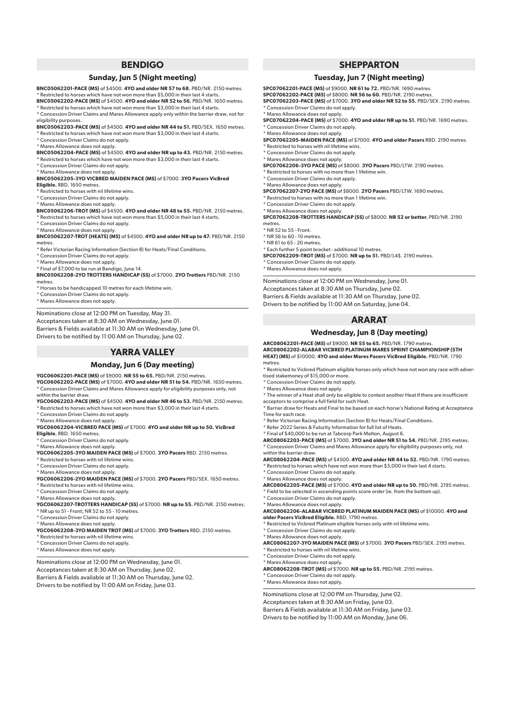# **BENDIGO**

#### **Sunday, Jun 5 (Night meeting)**

**BNC05062201-PACE (MS)** of \$4500. **4YO and older NR 57 to 68.** PBD/NR. 2150 metres.  $^{\star}$  Restricted to horses which have not won more than \$5,000 in their last 4 start.

**BNC05062202-PACE (MS)** of \$4500. **4YO and older NR 52 to 56.** PBD/NR. 1650 metres.  $^{\star}$  Restricted to horses which have not won more than \$3,000 in their last 4 starts.

\* Concession Driver Claims and Mares Allowance apply only within the barrier draw, not for eligibility purposes.

**BNC05062203-PACE (MS)** of \$4500. **4YO and older NR 44 to 51.** PBD/SEX. 1650 metres. \* Restricted to horses which have not won more than \$3,000 in their last 4 starts.

\* Concession Driver Claims do not apply.

\* Mares Allowance does not apply. **BNC05062204-PACE (MS)** of \$4500. **4YO and older NR up to 43.** PBD/NR. 2150 metres. Restricted to horses which have not won more than \$3,000 in their last 4 starts.

- \* Concession Driver Claims do not apply.
- \* Mares Allowance does not apply.

**BNC05062205-3YO VICBRED MAIDEN PACE (MS)** of \$7000. **3YO Pacers VicBred** 

#### **Eligible.** RBD. 1650 metres.

\* Restricted to horses with nil lifetime wins.

- \* Concession Driver Claims do not apply. \* Mares Allowance does not apply.
- 

**BNC05062206-TROT (MS)** of \$4500. **4YO and older NR 48 to 55.** PBD/NR. 2150 metres. Restricted to horses which have not won more than \$5,000 in their last 4 starts.

\* Concession Driver Claims do not apply.

\* Mares Allowance does not apply. **BNC05062207-TROT (HEATS) (MS)** of \$4500. **4YO and older NR up to 47.** PBD/NR. 2150

#### metres

\* Refer Victorian Racing Information (Section 8) for Heats/Final Conditions.

- \* Concession Driver Claims do not apply.
- \* Mares Allowance does not apply.
- \* Final of \$7,000 to be run at Bendigo, June 14.

**BNC05062208-2YO TROTTERS HANDICAP (SS)** of \$7000. **2YO Trotters** PBD/NR. 2150 metres.

\* Horses to be handicapped 10 metres for each lifetime win.

Concession Driver Claims do not apply.

\* Mares Allowance does not apply.

Nominations close at 12:00 PM on Tuesday, May 31. Acceptances taken at 8:30 AM on Wednesday, June 01. Barriers & Fields available at 11:30 AM on Wednesday, June 01. Drivers to be notified by 11:00 AM on Thursday, June 02.

# **YARRA VALLEY**

#### **Monday, Jun 6 (Day meeting)**

**YGC06062201-PACE (MS)** of \$9000. **NR 55 to 65.** PBD/NR. 2150 metres. **YGC06062202-PACE (MS)** of \$7000. **4YO and older NR 51 to 54.** PBD/NR. 1650 metres.

\* Concession Driver Claims and Mares Allowance apply for eligibility purposes only, not within the barrier draw. **YGC06062203-PACE (MS)** of \$4500. **4YO and older NR 46 to 53.** PBD/NR. 2150 metres.

 $^{\star}$  Restricted to horses which have not won more than \$3,000 in their last 4 starts.

\* Concession Driver Claims do not apply.

\* Mares Allowance does not apply.

**YGC06062204-VICBRED PACE (MS)** of \$7000. **4YO and older NR up to 50. VicBred Eligible.** RBD. 1650 metres.

\* Concession Driver Claims do not apply.

\* Mares Allowance does not apply.

**YGC06062205-3YO MAIDEN PACE (MS)** of \$7000. **3YO Pacers** RBD. 2150 metres.

\* Restricted to horses with nil lifetime wins.

\* Concession Driver Claims do not apply. \* Mares Allowance does not apply.

**YGC06062206-2YO MAIDEN PACE (MS)** of \$7000. **2YO Pacers** PBD/SEX. 1650 metres.

 $^{\star}$  Restricted to horses with nil lifetime wins.

\* Concession Driver Claims do not apply.

\* Mares Allowance does not apply.

**YGC06062207-TROTTERS HANDICAP (SS)** of \$7000. **NR up to 55.** PBD/NR. 2150 metres.  $*$  NR up to 51 - Front; NR 52 to 55 - 10 metres.

\* Concession Driver Claims do not apply.

\* Mares Allowance does not apply.

**YGC06062208-3YO MAIDEN TROT (MS)** of \$7000. **3YO Trotters** RBD. 2150 metres.

- \* Restricted to horses with nil lifetime wins.
- \* Concession Driver Claims do not apply.

\* Mares Allowance does not apply.

Nominations close at 12:00 PM on Wednesday, June 01. Acceptances taken at 8:30 AM on Thursday, June 02. Barriers & Fields available at 11:30 AM on Thursday, June 02. Drivers to be notified by 11:00 AM on Friday, June 03.

# **SHEPPARTON**

#### **Tuesday, Jun 7 (Night meeting)**

**SPC07062201-PACE (MS)** of \$9000. **NR 61 to 72.** PBD/NR. 1690 metres.

**SPC07062202-PACE (MS)** of \$8000. **NR 56 to 60.** PBD/NR. 2190 metres.

**SPC07062203-PACE (MS)** of \$7000. **3YO and older NR 52 to 55.** PBD/SEX. 2190 metres. \* Concession Driver Claims do not apply.

\* Mares Allowance does not apply.

**SPC07062204-PACE (MS)** of \$7000. **4YO and older NR up to 51.** PBD/NR. 1690 metres. \* Concession Driver Claims do not apply.

\* Mares Allowance does not apply.

**SPC07062205-MAIDEN PACE (MS)** of \$7000. **4YO and older Pacers** RBD. 2190 metres. \* Restricted to horses with nil lifetime wins.

\* Concession Driver Claims do not apply.

\* Mares Allowance does not apply.

**SPC07062206-3YO PACE (MS)** of \$8000. **3YO Pacers** PBD/LTW. 2190 metres.

\* Restricted to horses with no more than 1 lifetime win.

\* Concession Driver Claims do not apply.

\* Mares Allowance does not apply. **SPC07062207-2YO PACE (MS)** of \$8000. **2YO Pacers** PBD/LTW. 1690 metres.

- \* Restricted to horses with no more than 1 lifetime win.
- \* Concession Driver Claims do not apply.

\* Mares Allowance does not apply. **SPC07062208-TROTTERS HANDICAP (SS)** of \$8000. **NR 52 or better.** PBD/NR. 2190

metres

\* NR 52 to 55 - Front.

\* NR 56 to 60 - 10 metres.

\* NR 61 to 65 - 20 metres.

\* Each further 5 point bracket - additional 10 metres.

**SPC07062209-TROT (MS)** of \$7000. **NR up to 51.** PBD/L4\$. 2190 metres. \* Concession Driver Claims do not apply.

\* Mares Allowance does not apply.

Nominations close at 12:00 PM on Wednesday, June 01. Acceptances taken at 8:30 AM on Thursday, June 02. Barriers & Fields available at 11:30 AM on Thursday, June 02. Drivers to be notified by 11:00 AM on Saturday, June 04.

# **ARARAT**

#### **Wednesday, Jun 8 (Day meeting)**

**ARC08062201-PACE (MS)** of \$9000. **NR 55 to 65.** PBD/NR. 1790 metres. **ARC08062202-ALABAR VICBRED PLATINUM MARES SPRINT CHAMPIONSHIP (5TH HEAT) (MS)** of \$10000. **4YO and older Mares Pacers VicBred Eligible.** PBD/NR. 1790 metres

\* Restricted to Vicbred Platinum eligible horses only which have not won any race with advertised stakemoney of \$15,000 or more.

\* Concession Driver Claims do not apply.

\* Mares Allowance does not apply.

\* The winner of a Heat shall only be eligible to contest another Heat if there are insufficient acceptors to comprise a full field for such Heat.

\* Barrier draw for Heats and Final to be based on each horse's National Rating at Acceptance Time for each race.

\* Refer Victorian Racing Information (Section 8) for Heats/Final Conditions.

\* Refer 2022 Series & Futurity Information for full list of Heats.

\* Final of \$40,000 to be run at Tabcorp Park Melton, August 6.

**ARC08062203-PACE (MS)** of \$7000. **3YO and older NR 51 to 54.** PBD/NR. 2195 metres. \* Concession Driver Claims and Mares Allowance apply for eligibility purposes only, not within the barrier draw

**ARC08062204-PACE (MS)** of \$4500. **4YO and older NR 44 to 52.** PBD/NR. 1790 metres. \* Restricted to horses which have not won more than \$3,000 in their last 4 starts.

\* Concession Driver Claims do not apply.

\* Mares Allowance does not apply. **ARC08062205-PACE (MS)** of \$7000. **4YO and older NR up to 50.** PBD/NR. 2195 metres.  $^{\star}$  Field to be selected in ascending points score order (ie. from the bottom up).

\* Concession Driver Claims do not apply.

\* Concession Driver Claims do not apply.

 $\overline{\phantom{a}}$  Restricted to horses with nil lifetime wins. \* Concession Driver Claims do not apply. \* Mares Allowance does not apply.

<sup>'</sup> Concession Driver Claims do not apply. \* Mares Allowance does not apply.

\* Mares Allowance does not apply.

**ARC08062206-ALABAR VICBRED PLATINUM MAIDEN PACE (MS)** of \$10000. **4YO and older Pacers VicBred Eligible.** RBD. 1790 metres.

\* Mares Allowance does not apply. **ARC08062207-3YO MAIDEN PACE (MS)** of \$7000. **3YO Pacers** PBD/SEX. 2195 metres.

\* Restricted to Vicbred Platinum eligible horses only with nil lifetime wins.

**ARC08062208-TROT (MS)** of \$7000. **NR up to 55.** PBD/NR. 2195 metres.

Nominations close at 12:00 PM on Thursday, June 02. Acceptances taken at 8:30 AM on Friday, June 03. Barriers & Fields available at 11:30 AM on Friday, June 03. Drivers to be notified by 11:00 AM on Monday, June 06.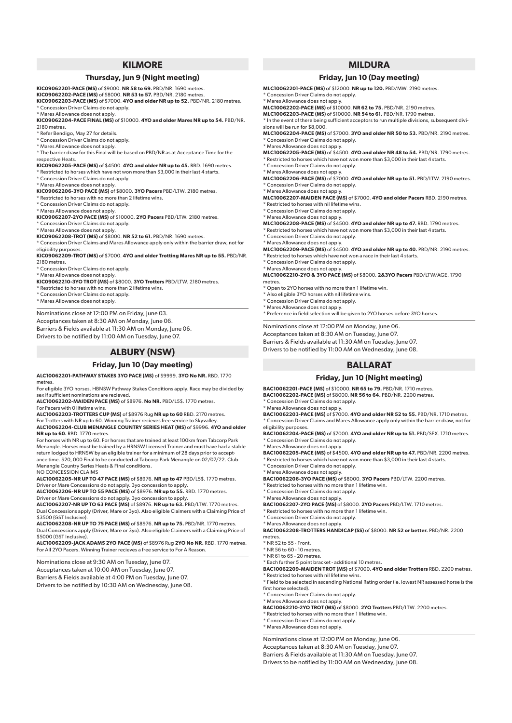# **KILMORE**

#### **Thursday, Jun 9 (Night meeting)**

**KIC09062201-PACE (MS)** of \$9000. **NR 58 to 69.** PBD/NR. 1690 metres.

**KIC09062202-PACE (MS)** of \$8000. **NR 53 to 57.** PBD/NR. 2180 metres.

**KIC09062203-PACE (MS)** of \$7000. **4YO and older NR up to 52.** PBD/NR. 2180 metres. \* Concession Driver Claims do not apply.

\* Mares Allowance does not apply.

**KIC09062204-PACE FINAL (MS)** of \$10000. **4YO and older Mares NR up to 54.** PBD/NR. 2180 metres.

- \* Refer Bendigo, May 27 for details.
- \* Concession Driver Claims do not apply.

\* Mares Allowance does not apply.

\* The barrier draw for this Final will be based on PBD/NR as at Acceptance Time for the respective Heats.

**KIC09062205-PACE (MS)** of \$4500. **4YO and older NR up to 45.** RBD. 1690 metres. \* Restricted to horses which have not won more than \$3,000 in their last 4 starts.

\* Concession Driver Claims do not apply.

\* Mares Allowance does not apply. **KIC09062206-3YO PACE (MS)** of \$8000. **3YO Pacers** PBD/LTW. 2180 metres.

Restricted to horses with no more than 2 lifetime wins.

\* Concession Driver Claims do not apply. \* Mares Allowance does not apply.

**KIC09062207-2YO PACE (MS)** of \$10000. **2YO Pacers** PBD/LTW. 2180 metres. \* Concession Driver Claims do not apply. \* Mares Allowance does not apply.

**KIC09062208-TROT (MS)** of \$8000. **NR 52 to 61.** PBD/NR. 1690 metres.

\* Concession Driver Claims and Mares Allowance apply only within the barrier draw, not for eligibility purposes.

**KIC09062209-TROT (MS)** of \$7000. **4YO and older Trotting Mares NR up to 55.** PBD/NR. 2180 metres.

\* Concession Driver Claims do not apply.

\* Mares Allowance does not apply.

**KIC09062210-3YO TROT (MS)** of \$8000. **3YO Trotters** PBD/LTW. 2180 metres.

\* Restricted to horses with no more than 2 lifetime wins.

\* Concession Driver Claims do not apply. \* Mares Allowance does not apply.

Nominations close at 12:00 PM on Friday, June 03. Acceptances taken at 8:30 AM on Monday, June 06. Barriers & Fields available at 11:30 AM on Monday, June 06. Drivers to be notified by 11:00 AM on Tuesday, June 07.

# **ALBURY (NSW)**

# **Friday, Jun 10 (Day meeting)**

**ALC10062201-PATHWAY STAKES 3YO PACE (MS)** of \$9999. **3YO No NR.** RBD. 1770 metres

For eligible 3YO horses. HBNSW Pathway Stakes Conditions apply. Race may be divided by sex if sufficient nominations are recieved.

**ALC10062202-MAIDEN PACE (MS)** of \$8976. **No NR.** PBD/L5\$. 1770 metres. For Pacers with 0 lifetime wins.

**ALC10062203-TROTTERS CUP (MS)** of \$8976 Rug **NR up to 60** RBD. 2170 metres. For Trotters with NR up to 60. Winning Trainer recieves free service to Skyvalley. **ALC10062204-CLUB MENANGLE COUNTRY SERIES HEAT (MS)** of \$9996. **4YO and older**

**NR up to 60.** RBD. 1770 metres. For horses with NR up to 60. For horses that are trained at least 100km from Tabcorp Park Menangle. Horses must be trained by a HRNSW Licensed Trainer and must have had a stable return lodged to HRNSW by an eligible trainer for a minimum of 28 days prior to acceptance time. \$20, 000 Final to be conducted at Tabcorp Park Menangle on 02/07/22. Club

Menangle Country Series Heats & Final conditions. NO CONCESSION CLAIMS **ALC10062205-NR UP TO 47 PACE (MS)** of \$8976. **NR up to 47** PBD/L5\$. 1770 metres.

Driver or Mare Concessions do not apply. 3yo concession to apply. **ALC10062206-NR UP TO 55 PACE (MS)** of \$8976. **NR up to 55.** RBD. 1770 metres.

Driver or Mare Concessions do not apply. 3yo concession to apply. **ALC10062207-NR UP TO 63 PACE (MS)** of \$8976. **NR up to 63.** PBD/LTW. 1770 metres.

Dual Concessions apply (Driver, Mare or 3yo). Also eligible Claimers with a Claiming Price of \$3500 (GST Inclusive).

**ALC10062208-NR UP TO 75 PACE (MS)** of \$8976. **NR up to 75.** PBD/NR. 1770 metres. Dual Concessions apply (Driver, Mare or 3yo). Also eligible Claimers with a Claiming Price of \$5000 (GST Inclusive).

**ALC10062209-JACK ADAMS 2YO PACE (MS)** of \$8976 Rug **2YO No NR.** RBD. 1770 metres. For All 2YO Pacers. Winning Trainer recieves a free service to For A Reason.

Nominations close at 9:30 AM on Tuesday, June 07.

Acceptances taken at 10:00 AM on Tuesday, June 07.

Barriers & Fields available at 4:00 PM on Tuesday, June 07.

Drivers to be notified by 10:30 AM on Wednesday, June 08.

# **MILDURA**

## **Friday, Jun 10 (Day meeting)**

**MLC10062201-PACE (MS)** of \$12000. **NR up to 120.** PBD/MW. 2190 metres. \* Concession Driver Claims do not apply.

\* Mares Allowance does not apply.

**MLC10062202-PACE (MS)** of \$10000. **NR 62 to 75.** PBD/NR. 2190 metres.

**MLC10062203-PACE (MS)** of \$10000. **NR 54 to 61.** PBD/NR. 1790 metres.

\* In the event of there being sufficient acceptors to run multiple divisions, subsequent divisions will be run for \$8,000.

**MLC10062204-PACE (MS)** of \$7000. **3YO and older NR 50 to 53.** PBD/NR. 2190 metres. \* Concession Driver Claims do not apply.

\* Mares Allowance does not apply. **MLC10062205-PACE (MS)** of \$4500. **4YO and older NR 48 to 54.** PBD/NR. 1790 metres.

\* Restricted to horses which have not won more than \$3,000 in their last 4 starts.

\* Concession Driver Claims do not apply. \* Mares Allowance does not apply.

**MLC10062206-PACE (MS)** of \$7000. **4YO and older NR up to 51.** PBD/LTW. 2190 metres. \* Concession Driver Claims do not apply.

\* Mares Allowance does not apply.

**MLC10062207-MAIDEN PACE (MS)** of \$7000. **4YO and older Pacers** RBD. 2190 metres. \* Restricted to horses with nil lifetime wins.

\* Concession Driver Claims do not apply. \* Mares Allowance does not apply.

**MLC10062208-PACE (MS)** of \$4500. **4YO and older NR up to 47.** RBD. 1790 metres.

\* Restricted to horses which have not won more than \$3,000 in their last 4 starts. \* Concession Driver Claims do not apply.

\* Mares Allowance does not apply. **MLC10062209-PACE (MS)** of \$4500. **4YO and older NR up to 40.** PBD/NR. 2190 metres. Restricted to horses which have not won a race in their last 4 starts.

\* Concession Driver Claims do not apply.

\* Mares Allowance does not apply.

**MLC10062210-2YO & 3YO PACE (MS)** of \$8000. **2&3YO Pacers** PBD/LTW/AGE. 1790 metres.

\* Open to 2YO horses with no more than 1 lifetime win.

\* Also eligible 3YO horses with nil lifetime wins.

\* Concession Driver Claims do not apply. \* Mares Allowance does not apply.

\* Preference in field selection will be given to 2YO horses before 3YO horses.

Nominations close at 12:00 PM on Monday, June 06.

Acceptances taken at 8:30 AM on Tuesday, June 07. Barriers & Fields available at 11:30 AM on Tuesday, June 07.

Drivers to be notified by 11:00 AM on Wednesday, June 08.

### **BALLARAT**

#### **Friday, Jun 10 (Night meeting)**

**BAC10062201-PACE (MS)** of \$10000. **NR 65 to 79.** PBD/NR. 1710 metres. **BAC10062202-PACE (MS)** of \$8000. **NR 56 to 64.** PBD/NR. 2200 metres.

\* Concession Driver Claims do not apply.

\* Mares Allowance does not apply.

**BAC10062203-PACE (MS)** of \$7000. **4YO and older NR 52 to 55.** PBD/NR. 1710 metres. \* Concession Driver Claims and Mares Allowance apply only within the barrier draw, not for eligibility purposes.

**BAC10062204-PACE (MS)** of \$7000. **4YO and older NR up to 51.** PBD/SEX. 1710 metres. \* Concession Driver Claims do not apply.

\* Mares Allowance does not apply.

**BAC10062205-PACE (MS)** of \$4500. **4YO and older NR up to 47.** PBD/NR. 2200 metres.  $^{\star}$  Restricted to horses which have not won more than \$3,000 in their last 4 starts.

\* Concession Driver Claims do not apply. \* Mares Allowance does not apply.

**BAC10062206-3YO PACE (MS)** of \$8000. **3YO Pacers** PBD/LTW. 2200 metres.

- \* Restricted to horses with no more than 1 lifetime win.
- \* Concession Driver Claims do not apply.

\* Mares Allowance does not apply. **BAC10062207-2YO PACE (MS)** of \$8000. **2YO Pacers** PBD/LTW. 1710 metres.

Restricted to horses with no more than 1 lifetime win.

\* Concession Driver Claims do not apply.

\* Mares Allowance does not apply.

**BAC10062208-TROTTERS HANDICAP (SS)** of \$8000. **NR 52 or better.** PBD/NR. 2200 metres.

 $*$  NR 52 to 55 - Front. \* NR 56 to 60 - 10 metres.

\* NR 61 to 65 - 20 metres.

\* Each further 5 point bracket - additional 10 metres.

\* Concession Driver Claims do not apply. \* Mares Allowance does not apply.

\* Concession Driver Claims do not apply. \* Mares Allowance does not apply.

 $^{\star}$  Restricted to horses with no more than 1 lifetime win.

Nominations close at 12:00 PM on Monday, June 06. Acceptances taken at 8:30 AM on Tuesday, June 07. Barriers & Fields available at 11:30 AM on Tuesday, June 07. Drivers to be notified by 11:00 AM on Wednesday, June 08.

**BAC10062209-MAIDEN TROT (MS)** of \$7000. **4YO and older Trotters** RBD. 2200 metres. \* Restricted to horses with nil lifetime wins.

\* Field to be selected in ascending National Rating order (ie. lowest NR assessed horse is the first horse selected).

**BAC10062210-2YO TROT (MS)** of \$8000. **2YO Trotters** PBD/LTW. 2200 metres.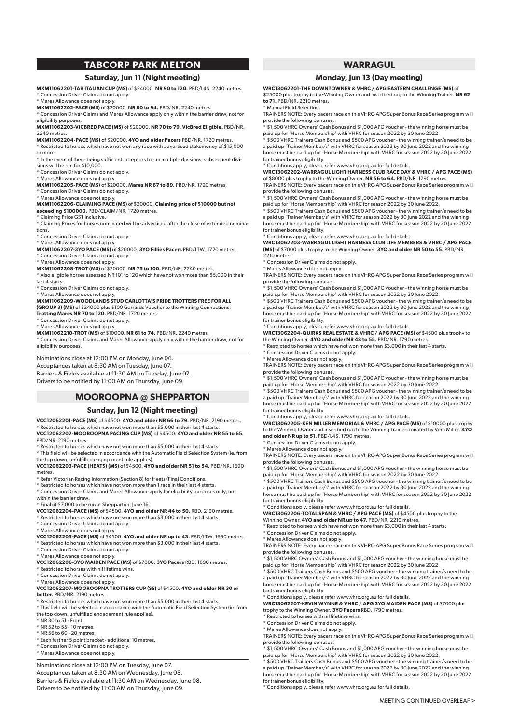# **TABCORP PARK MELTON**

#### **Saturday, Jun 11 (Night meeting)**

**MXM11062201-TAB ITALIAN CUP (MS)** of \$24000. **NR 90 to 120.** PBD/L4\$. 2240 metres. \* Concession Driver Claims do not apply.

\* Mares Allowance does not apply.

**MXM11062202-PACE (MS)** of \$20000. **NR 80 to 94.** PBD/NR. 2240 metres.

\* Concession Driver Claims and Mares Allowance apply only within the barrier draw, not for eligibility purposes.

**MXM11062203-VICBRED PACE (MS)** of \$20000. **NR 70 to 79. VicBred Eligible.** PBD/NR. 2240 metres.

**MXM11062204-PACE (MS)** of \$20000. **4YO and older Pacers** PBD/NR. 1720 metres. \* Restricted to horses which have not won any race with advertised stakemoney of \$15,000

or more. \* In the event of there being sufficient acceptors to run multiple divisions, subsequent divi-

sions will be run for \$10,000. \* Concession Driver Claims do not apply.

\* Mares Allowance does not apply.

**MXM11062205-PACE (MS)** of \$20000. **Mares NR 67 to 89.** PBD/NR. 1720 metres.

#### \* Concession Driver Claims do not apply.

\* Mares Allowance does not apply.

**MXM11062206-CLAIMING PACE (MS)** of \$20000. **Claiming price of \$10000 but not exceeding \$100000.** PBD/CLAIM/NR. 1720 metres.

Claiming Price GST inclusive.

\* Claiming Prices for horses nominated will be advertised after the close of extended nominations.

\* Concession Driver Claims do not apply.

\* Mares Allowance does not apply. **MXM11062207-3YO PACE (MS)** of \$20000. **3YO Fillies Pacers** PBD/LTW. 1720 metres. \* Concession Driver Claims do not apply.

\* Mares Allowance does not apply.

**MXM11062208-TROT (MS)** of \$20000. **NR 75 to 100.** PBD/NR. 2240 metres. \* Also eligible horses assessed NR 101 to 120 which have not won more than \$5,000 in their

last 4 starts. \* Concession Driver Claims do not apply.

\* Mares Allowance does not apply.

**MXM11062209-WOODLANDS STUD CARLOTTA'S PRIDE TROTTERS FREE FOR ALL** 

**(GROUP 3) (MS)** of \$24000 plus \$100 Garrards Voucher to the Winning Connections.

**Trotting Mares NR 70 to 120.** PBD/NR. 1720 metres.

\* Concession Driver Claims do not apply. \* Mares Allowance does not apply.

**MXM11062210-TROT (MS)** of \$10000. **NR 61 to 74.** PBD/NR. 2240 metres.

\* Concession Driver Claims and Mares Allowance apply only within the barrier draw, not for eligibility purposes.

#### Nominations close at 12:00 PM on Monday, June 06. Acceptances taken at 8:30 AM on Tuesday, June 07. Barriers & Fields available at 11:30 AM on Tuesday, June 07.

Drivers to be notified by 11:00 AM on Thursday, June 09.

# **MOOROOPNA @ SHEPPARTON**

#### **Sunday, Jun 12 (Night meeting)**

**VCC12062201-PACE (MS)** of \$4500. **4YO and older NR 66 to 79.** PBD/NR. 2190 metres.  $^{\star}$  Restricted to horses which have not won more than \$5,000 in their last 4 starts. **VCC12062202-MOOROOPNA PACING CUP (MS)** of \$4500. **4YO and older NR 55 to 65.** PBD/NR. 2190 metres.

\* Restricted to horses which have not won more than \$5,000 in their last 4 starts.

\* This field will be selected in accordance with the Automatic Field Selection System (ie. from the top down, unfulfilled engagement rule applies). **VCC12062203-PACE (HEATS) (MS)** of \$4500. **4YO and older NR 51 to 54.** PBD/NR. 1690

metres.

\* Refer Victorian Racing Information (Section 8) for Heats/Final Conditions. \* Restricted to horses which have not won more than 1 race in their last 4 starts.

\* Concession Driver Claims and Mares Allowance apply for eligibility purposes only, not within the barrier draw.

\* Final of \$7,000 to be run at Shepparton, June 16.

**VCC12062204-PACE (MS)** of \$4500. **4YO and older NR 44 to 50.** RBD. 2190 metres.

\* Restricted to horses which have not won more than \$3,000 in their last 4 starts.

\* Concession Driver Claims do not apply.

\* Mares Allowance does not apply.

**VCC12062205-PACE (MS)** of \$4500. **4YO and older NR up to 43.** PBD/LTW. 1690 metres. \* Restricted to horses which have not won more than \$3,000 in their last 4 starts.

\* Concession Driver Claims do not apply.

\* Mares Allowance does not apply.

**VCC12062206-3YO MAIDEN PACE (MS)** of \$7000. **3YO Pacers** RBD. 1690 metres. \* Restricted to horses with nil lifetime wins.

\* Concession Driver Claims do not apply.

\* Mares Allowance does not apply. **VCC12062207-MOOROOPNA TROTTERS CUP (SS)** of \$4500. **4YO and older NR 30 or better.** PBD/NR. 2190 metres.

\* Restricted to horses which have not won more than \$5,000 in their last 4 starts.

\* This field will be selected in accordance with the Automatic Field Selection System (ie. from the top down, unfulfilled engagement rule applies).

\* NR 30 to 51 - Front.

\* NR 52 to 55 - 10 metres.

\* NR 56 to 60 - 20 metres.

\* Each further 5 point bracket - additional 10 metres.

\* Concession Driver Claims do not apply.

\* Mares Allowance does not apply.

Nominations close at 12:00 PM on Tuesday, June 07.

Acceptances taken at 8:30 AM on Wednesday, June 08. Barriers & Fields available at 11:30 AM on Wednesday, June 08. Drivers to be notified by 11:00 AM on Thursday, June 09.

# **WARRAGUL**

#### **Monday, Jun 13 (Day meeting)**

**WRC13062201-THE DOWNTOWNER & VHRC / APG EASTERN CHALLENGE (MS)** of \$25000 plus trophy to the Winning Owner and inscribed rug to the Winning Trainer. **NR 62 to 71.** PBD/NR. 2210 metres.

\* Manual Field Selection.

TRAINERS NOTE: Every pacers race on this VHRC-APG Super Bonus Race Series program will provide the following bonuses.

\* \$1,500 VHRC Owners' Cash Bonus and \$1,000 APG voucher - the winning horse must be<br>paid up for 'Horse Membership' with VHRC for season 2022 by 30 June 2022.<br>\* \$500 VHRC Trainers Cash Bonus and \$500 APG voucher - the winni

a paid up 'Trainer Member/s' with VHRC for season 2022 by 30 June 2022 and the winning horse must be paid up for 'Horse Membership' with VHRC for season 2022 by 30 June 2022 for trainer bonus eligibility.

\* Conditions apply, please refer www.vhrc.org.au for full details. **WRC13062202-WARRAGUL LIGHT HARNESS CLUB RACE DAY & VHRC / APG PACE (MS)** of \$8000 plus trophy to the Winning Owner. **NR 56 to 64.** PBD/NR. 1790 metres.

TRAINERS NOTE: Every pacers race on this VHRC-APG Super Bonus Race Series program will provide the following bonuses. \* \$1,500 VHRC Owners' Cash Bonus and \$1,000 APG voucher - the winning horse must be

paid up for 'Horse Membership' with VHRC for season 2022 by 30 June 2022. \* \$500 VHRC Trainers Cash Bonus and \$500 APG voucher - the winning trainer/s need to be

a paid up 'Trainer Member/s' with VHRC for season 2022 by 30 June 2022 and the winning horse must be paid up for 'Horse Membership' with VHRC for season 2022 by 30 June 2022

for trainer bonus eligibility. \* Conditions apply, please refer www.vhrc.org.au for full details.

**WRC13062203-WARRAGUL LIGHT HARNESS CLUB LIFE MEMBERS & VHRC / APG PACE (MS)** of \$7000 plus trophy to the Winning Owner. **3YO and older NR 50 to 55.** PBD/NR. 2210 metres.

\* Concession Driver Claims do not apply.

\* Mares Allowance does not apply. TRAINERS NOTE: Every pacers race on this VHRC-APG Super Bonus Race Series program will

provide the following bonuses. \* \$1,500 VHRC Owners' Cash Bonus and \$1,000 APG voucher - the winning horse must be paid up for 'Horse Membership' with VHRC for season 2022 by 30 June 2022.

\* \$500 VHRC Trainers Cash Bonus and \$500 APG voucher - the winning trainer/s need to be a paid up 'Trainer Member/s' with VHRC for season 2022 by 30 June 2022 and the winning horse must be paid up for 'Horse Membership' with VHRC for season 2022 by 30 June 2022 for trainer bonus eligibility.

\* Conditions apply, please refer www.vhrc.org.au for full details.

**WRC13062204-QUIRKS REAL ESTATE & VHRC / APG PACE (MS)** of \$4500 plus trophy to the Winning Owner. **4YO and older NR 48 to 55.** PBD/NR. 1790 metres.

 $*$  Restricted to horses which have not won more than  $$3,000$  in their last 4 starts.

\* Concession Driver Claims do not apply.

\* Mares Allowance does not apply. TRAINERS NOTE: Every pacers race on this VHRC-APG Super Bonus Race Series program will

provide the following bonuses. \* \$1,500 VHRC Owners' Cash Bonus and \$1,000 APG voucher - the winning horse must be

paid up for 'Horse Membership' with VHRC for season 2022 by 30 June 2022. \* \$500 VHRC Trainers Cash Bonus and \$500 APG voucher - the winning trainer/s need to be a paid up 'Trainer Member/s' with VHRC for season 2022 by 30 June 2022 and the winning horse must be paid up for 'Horse Membership' with VHRC for season 2022 by 30 June 2022 for trainer bonus eligibility.

\* Conditions apply, please refer www.vhrc.org.au for full details.

**WRC13062205-KEN MILLER MEMORIAL & VHRC / APG PACE (MS)** of \$10000 plus trophy to the Winning Owner and inscribed rug to the Winning Trainer donated by Vera Miller. **4YO and older NR up to 51.** PBD/L4\$. 1790 metres.

\* Concession Driver Claims do not apply. \* Mares Allowance does not apply.

TRAINERS NOTE: Every pacers race on this VHRC-APG Super Bonus Race Series program will provide the following bonuses. \* \$1,500 VHRC Owners' Cash Bonus and \$1,000 APG voucher - the winning horse must be

paid up for 'Horse Membership' with VHRC for season 2022 by 30 June 2022.

\* \$500 VHRC Trainers Cash Bonus and \$500 APG voucher - the winning trainer/s need to be a paid up 'Trainer Member/s' with VHRC for season 2022 by 30 June 2022 and the winning horse must be paid up for 'Horse Membership' with VHRC for season 2022 by 30 June 2022

for trainer bonus eligibility. \* Conditions apply, please refer www.vhrc.org.au for full details.

\* Conditions apply, please refer www.vhrc.org.au for full details.

\* Conditions apply, please refer www.vhrc.org.au for full details.

trophy to the Winning Owner. **3YO Pacers** RBD. 1790 metres.

**WRC13062206-TOTAL SPAN & VHRC / APG PACE (MS)** of \$4500 plus trophy to the Winning Owner. **4YO and older NR up to 47.** PBD/NR. 2210 metres.

\* Restricted to horses which have not won more than \$3,000 in their last 4 starts.

\* Concession Driver Claims do not apply.

\* Mares Allowance does not apply.

\* Restricted to horses with nil lifetime wins. \* Concession Driver Claims do not apply. \* Mares Allowance does not apply.

for trainer bonus eligibility.

for trainer bonus eligibility.

TRAINERS NOTE: Every pacers race on this VHRC-APG Super Bonus Race Series program will provide the following bonuses. \* \$1,500 VHRC Owners' Cash Bonus and \$1,000 APG voucher - the winning horse must be

paid up for 'Horse Membership' with VHRC for season 2022 by 30 June 2022. \* \$500 VHRC Trainers Cash Bonus and \$500 APG voucher - the winning trainer/s need to be a paid up 'Trainer Member/s' with VHRC for season 2022 by 30 June 2022 and the winning horse must be paid up for 'Horse Membership' with VHRC for season 2022 by 30 June 2022

**WRC13062207-KEVIN WYNNE & VHRC / APG 3YO MAIDEN PACE (MS)** of \$7000 plus

TRAINERS NOTE: Every pacers race on this VHRC-APG Super Bonus Race Series program will provide the following bonuses. \* \$1,500 VHRC Owners' Cash Bonus and \$1,000 APG voucher - the winning horse must be

\* \$500 VHRC Trainers Cash Bonus and \$500 APG voucher - the winning trainer/s need to be a paid up 'Trainer Member/s' with VHRC for season 2022 by 30 June 2022 and the winning horse must be paid up for 'Horse Membership' with VHRC for season 2022 by 30 June 2022

MEETING CONTINUED OVERLEAF >

paid up for 'Horse Membership' with VHRC for season 2022 by 30 June 2022.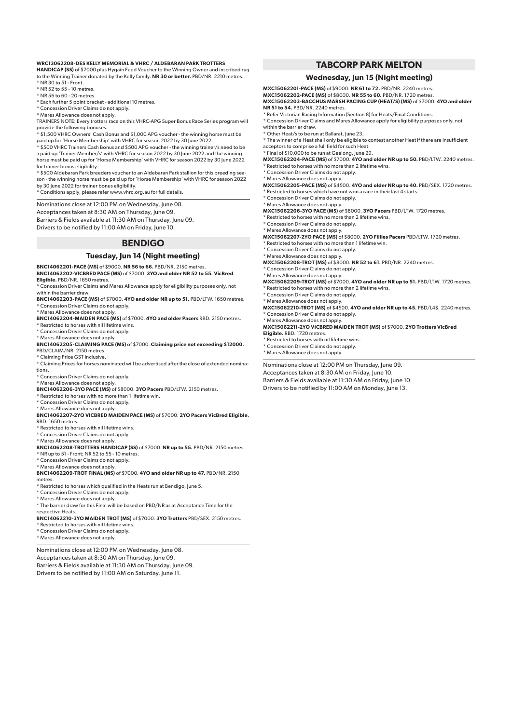#### **WRC13062208-DES KELLY MEMORIAL & VHRC / ALDEBARAN PARK TROTTERS**

**HANDICAP (SS)** of \$7000 plus Hygain Feed Voucher to the Winning Owner and inscribed rug to the Winning Trainer donated by the Kelly family. **NR 30 or better.** PBD/NR. 2210 metres. \* NR 30 to 51 - Front.

- \* NR 52 to 55 10 metres.
- $*$  NR 56 to 60 20 metres.
- \* Each further 5 point bracket additional 10 metres.
- \* Concession Driver Claims do not apply.
- \* Mares Allowance does not apply.

TRAINERS NOTE: Every trotters race on this VHRC-APG Super Bonus Race Series program will provide the following bonuses.

\* \$1,500 VHRC Owners' Cash Bonus and \$1,000 APG voucher - the winning horse must be

paid up for 'Horse Membership' with VHRC for season 2022 by 30 June 2022. \* \$500 VHRC Trainers Cash Bonus and \$500 APG voucher - the winning trainer/s need to be a paid up 'Trainer Member/s' with VHRC for season 2022 by 30 June 2022 and the winning horse must be paid up for 'Horse Membership' with VHRC for season 2022 by 30 June 2022 for trainer bonus eligibility.

\* \$500 Aldebaran Park breeders voucher to an Aldebaran Park stallion for this breeding season - the winning horse must be paid up for 'Horse Membership' with VHRC for season 2022 by 30 June 2022 for trainer bonus eligibility.

\* Conditions apply, please refer www.vhrc.org.au for full details.

Nominations close at 12:00 PM on Wednesday, June 08.

Acceptances taken at 8:30 AM on Thursday, June 09.

Barriers & Fields available at 11:30 AM on Thursday, June 09. Drivers to be notified by 11:00 AM on Friday, June 10.

# **BENDIGO**

#### **Tuesday, Jun 14 (Night meeting)**

**BNC14062201-PACE (MS)** of \$9000. **NR 56 to 66.** PBD/NR. 2150 metres. **BNC14062202-VICBRED PACE (MS)** of \$7000. **3YO and older NR 52 to 55. VicBred Eligible.** PBD/NR. 1650 metres.

\* Concession Driver Claims and Mares Allowance apply for eligibility purposes only, not

within the barrier draw.

**BNC14062203-PACE (MS)** of \$7000. **4YO and older NR up to 51.** PBD/LTW. 1650 metres. \* Concession Driver Claims do not apply.

\* Mares Allowance does not apply. **BNC14062204-MAIDEN PACE (MS)** of \$7000. **4YO and older Pacers** RBD. 2150 metres. \* Restricted to horses with nil lifetime wins.

\* Concession Driver Claims do not apply.

\* Mares Allowance does not apply. **BNC14062205-CLAIMING PACE (MS)** of \$7000. **Claiming price not exceeding \$12000.**

PBD/CLAIM/NR. 2150 metres. \* Claiming Price GST inclusive.

\* Claiming Prices for horses nominated will be advertised after the close of extended nominations.

\* Concession Driver Claims do not apply.

\* Mares Allowance does not apply.

**BNC14062206-3YO PACE (MS)** of \$8000. **3YO Pacers** PBD/LTW. 2150 metres.

\* Restricted to horses with no more than 1 lifetime win. \* Concession Driver Claims do not apply.

#### \* Mares Allowance does not apply. **BNC14062207-2YO VICBRED MAIDEN PACE (MS)** of \$7000. **2YO Pacers VicBred Eligible.** RBD. 1650 metres.

\* Restricted to horses with nil lifetime wins. \* Concession Driver Claims do not apply.

\* Mares Allowance does not apply.

**BNC14062208-TROTTERS HANDICAP (SS)** of \$7000. **NR up to 55.** PBD/NR. 2150 metres.

 $^{\star}$  NR up to 51 - Front: NR 52 to 55 - 10 metres.

\* Concession Driver Claims do not apply. \* Mares Allowance does not apply.

**BNC14062209-TROT FINAL (MS)** of \$7000. **4YO and older NR up to 47.** PBD/NR. 2150

metres

\* Restricted to horses which qualified in the Heats run at Bendigo, June 5.

\* Concession Driver Claims do not apply.

\* Mares Allowance does not apply.

\* The barrier draw for this Final will be based on PBD/NR as at Acceptance Time for the

respective Heats.

**BNC14062210-3YO MAIDEN TROT (MS)** of \$7000. **3YO Trotters** PBD/SEX. 2150 metres.

\* Restricted to horses with nil lifetime wins.

\* Concession Driver Claims do not apply.

\* Mares Allowance does not apply.

Nominations close at 12:00 PM on Wednesday, June 08. Acceptances taken at 8:30 AM on Thursday, June 09. Barriers & Fields available at 11:30 AM on Thursday, June 09. Drivers to be notified by 11:00 AM on Saturday, June 11.

# **TABCORP PARK MELTON**

#### **Wednesday, Jun 15 (Night meeting)**

**MXC15062201-PACE (MS)** of \$9000. **NR 61 to 72.** PBD/NR. 2240 metres. **MXC15062202-PACE (MS)** of \$8000. **NR 55 to 60.** PBD/NR. 1720 metres. **MXC15062203-BACCHUS MARSH PACING CUP (HEAT/S) (MS)** of \$7000. **4YO and older NR 51 to 54.** PBD/NR. 2240 metres.

\* Refer Victorian Racing Information (Section 8) for Heats/Final Conditions.

\* Concession Driver Claims and Mares Allowance apply for eligibility purposes only, not within the barrier draw.

\* Other Heat/s to be run at Ballarat, June 23.

\* The winner of a Heat shall only be eligible to contest another Heat if there are insufficient acceptors to comprise a full field for such Heat.

\* Final of \$10,000 to be run at Geelong, June 29. **MXC15062204-PACE (MS)** of \$7000. **4YO and older NR up to 50.** PBD/LTW. 2240 metres.  $*$  Restricted to horses with no more than 2 lifetime wins.

\* Concession Driver Claims do not apply.

\* Mares Allowance does not apply.

**MXC15062205-PACE (MS)** of \$4500. **4YO and older NR up to 40.** PBD/SEX. 1720 metres. \* Restricted to horses which have not won a race in their last 4 starts.

\* Concession Driver Claims do not apply. \* Mares Allowance does not apply.

**MXC15062206-3YO PACE (MS)** of \$8000. **3YO Pacers** PBD/LTW. 1720 metres.

\* Restricted to horses with no more than 2 lifetime wins.

\* Concession Driver Claims do not apply.

\* Mares Allowance does not apply. **MXC15062207-2YO PACE (MS)** of \$8000. **2YO Fillies Pacers** PBD/LTW. 1720 metres.

\* Restricted to horses with no more than 1 lifetime win.

\* Concession Driver Claims do not apply.

\* Mares Allowance does not apply.

**MXC15062208-TROT (MS)** of \$8000. **NR 52 to 61.** PBD/NR. 2240 metres. \* Concession Driver Claims do not apply.

\* Mares Allowance does not apply.

**MXC15062209-TROT (MS)** of \$7000. **4YO and older NR up to 51.** PBD/LTW. 1720 metres. \* Restricted to horses with no more than 2 lifetime wins.

\* Concession Driver Claims do not apply.

\* Mares Allowance does not apply.

**MXC15062210-TROT (MS)** of \$4500. **4YO and older NR up to 45.** PBD/L4\$. 2240 metres. \* Concession Driver Claims do not apply.

\* Mares Allowance does not apply. **MXC15062211-2YO VICBRED MAIDEN TROT (MS)** of \$7000. **2YO Trotters VicBred Eligible.** RBD. 1720 metres.

 $k$  Restricted to horses with nil lifetime wins.

\* Concession Driver Claims do not apply.

\* Mares Allowance does not apply.

Nominations close at 12:00 PM on Thursday, June 09.

Acceptances taken at 8:30 AM on Friday, June 10.

Barriers & Fields available at 11:30 AM on Friday, June 10.

Drivers to be notified by 11:00 AM on Monday, June 13.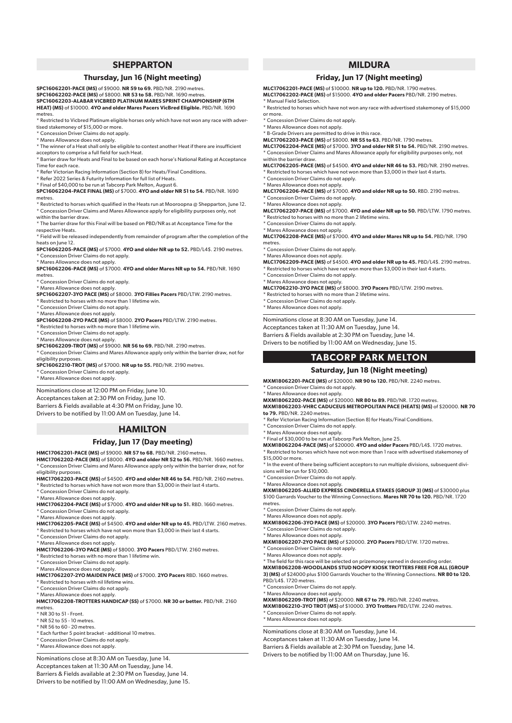#### **SHEPPARTON**

#### **Thursday, Jun 16 (Night meeting)**

**SPC16062201-PACE (MS)** of \$9000. **NR 59 to 69.** PBD/NR. 2190 metres. **SPC16062202-PACE (MS)** of \$8000. **NR 53 to 58.** PBD/NR. 1690 metres. **SPC16062203-ALABAR VICBRED PLATINUM MARES SPRINT CHAMPIONSHIP (6TH HEAT) (MS)** of \$10000. **4YO and older Mares Pacers VicBred Eligible.** PBD/NR. 1690 metres.

\* Restricted to Vicbred Platinum eligible horses only which have not won any race with advertised stakemoney of \$15,000 or more.

- \* Concession Driver Claims do not apply.
- \* Mares Allowance does not apply.

\* The winner of a Heat shall only be eligible to contest another Heat if there are insufficient acceptors to comprise a full field for such Heat.

\* Barrier draw for Heats and Final to be based on each horse's National Rating at Acceptance Time for each race.

\* Refer Victorian Racing Information (Section 8) for Heats/Final Conditions.

\* Refer 2022 Series & Futurity Information for full list of Heats.

\* Final of \$40,000 to be run at Tabcorp Park Melton, August 6. **SPC16062204-PACE FINAL (MS)** of \$7000. **4YO and older NR 51 to 54.** PBD/NR. 1690

metres

\* Restricted to horses which qualified in the Heats run at Mooroopna @ Shepparton, June 12. \* Concession Driver Claims and Mares Allowance apply for eligibility purposes only, not within the barrier draw.

\* The barrier draw for this Final will be based on PBD/NR as at Acceptance Time for the respective Heats.

\* Field will be released independently from remainder of program after the completion of the heats on June 12.

**SPC16062205-PACE (MS)** of \$7000. **4YO and older NR up to 52.** PBD/L4\$. 2190 metres. Concession Driver Claims do not apply.

\* Mares Allowance does not apply. **SPC16062206-PACE (MS)** of \$7000. **4YO and older Mares NR up to 54.** PBD/NR. 1690 metres.

\* Concession Driver Claims do not apply.

\* Mares Allowance does not apply.

**SPC16062207-3YO PACE (MS)** of \$8000. **3YO Fillies Pacers** PBD/LTW. 2190 metres.

\* Restricted to horses with no more than 1 lifetime win. \* Concession Driver Claims do not apply.

\* Mares Allowance does not apply.

**SPC16062208-2YO PACE (MS)** of \$8000. **2YO Pacers** PBD/LTW. 2190 metres.

\* Restricted to horses with no more than 1 lifetime win.

\* Concession Driver Claims do not apply.

\* Mares Allowance does not apply.

**SPC16062209-TROT (MS)** of \$9000. **NR 56 to 69.** PBD/NR. 2190 metres.

\* Concession Driver Claims and Mares Allowance apply only within the barrier draw, not for eligibility purposes.

**SPC16062210-TROT (MS)** of \$7000. **NR up to 55.** PBD/NR. 2190 metres.

\* Exercisement Priver Claims do not apply.

\* Mares Allowance does not apply.

Nominations close at 12:00 PM on Friday, June 10.

Acceptances taken at 2:30 PM on Friday, June 10.

Barriers & Fields available at 4:30 PM on Friday, June 10. Drivers to be notified by 11:00 AM on Tuesday, June 14.

# **HAMILTON**

#### **Friday, Jun 17 (Day meeting)**

**HMC17062201-PACE (MS)** of \$9000. **NR 57 to 68.** PBD/NR. 2160 metres. **HMC17062202-PACE (MS)** of \$8000. **4YO and older NR 52 to 56.** PBD/NR. 1660 metres. \* Concession Driver Claims and Mares Allowance apply only within the barrier draw, not for eligibility purposes.

**HMC17062203-PACE (MS)** of \$4500. **4YO and older NR 46 to 54.** PBD/NR. 2160 metres. \* Restricted to horses which have not won more than \$3,000 in their last 4 starts.

\* Concession Driver Claims do not apply.

\* Mares Allowance does not apply.

**HMC17062204-PACE (MS)** of \$7000. **4YO and older NR up to 51.** RBD. 1660 metres. \* Concession Driver Claims do not apply.

\* Mares Allowance does not apply. **HMC17062205-PACE (MS)** of \$4500. **4YO and older NR up to 45.** PBD/LTW. 2160 metres.

Restricted to horses which have not won more than \$3,000 in their last 4 starts.

\* Concession Driver Claims do not apply.

\* Mares Allowance does not apply. **HMC17062206-3YO PACE (MS)** of \$8000. **3YO Pacers** PBD/LTW. 2160 metres.

\* Restricted to horses with no more than 1 lifetime win. \* Concession Driver Claims do not apply.

\* Mares Allowance does not apply.

**HMC17062207-2YO MAIDEN PACE (MS)** of \$7000. **2YO Pacers** RBD. 1660 metres. \* Restricted to horses with nil lifetime wins.

\* Concession Driver Claims do not apply.

\* Mares Allowance does not apply.

**HMC17062208-TROTTERS HANDICAP (SS)** of \$7000. **NR 30 or better.** PBD/NR. 2160 metres.

\* NR 30 to 51 - Front.

\* NR 52 to 55 - 10 metres.

\* NR 56 to 60 - 20 metres.

\* Each further 5 point bracket - additional 10 metres.

\* Concession Driver Claims do not apply.

\* Mares Allowance does not apply.

Nominations close at 8:30 AM on Tuesday, June 14. Acceptances taken at 11:30 AM on Tuesday, June 14. Barriers & Fields available at 2:30 PM on Tuesday, June 14. Drivers to be notified by 11:00 AM on Wednesday, June 15.

# **MILDURA**

#### **Friday, Jun 17 (Night meeting)**

**MLC17062201-PACE (MS)** of \$10000. **NR up to 120.** PBD/NR. 1790 metres. **MLC17062202-PACE (MS)** of \$15000. **4YO and older Pacers** PBD/NR. 2190 metres. \* Manual Field Selection.

\* Restricted to horses which have not won any race with advertised stakemoney of \$15,000 or more.

\* Concession Driver Claims do not apply.

\* Mares Allowance does not apply.

\* B-Grade Drivers are permitted to drive in this race.

**MLC17062203-PACE (MS)** of \$8000. **NR 55 to 63.** PBD/NR. 1790 metres. **MLC17062204-PACE (MS)** of \$7000. **3YO and older NR 51 to 54.** PBD/NR. 2190 metres.

\* Concession Driver Claims and Mares Allowance apply for eligibility purposes only, not within the barrier draw.

**MLC17062205-PACE (MS)** of \$4500. **4YO and older NR 46 to 53.** PBD/NR. 2190 metres. \* Restricted to horses which have not won more than \$3,000 in their last 4 starts.

\* Concession Driver Claims do not apply.

\* Mares Allowance does not apply. **MLC17062206-PACE (MS)** of \$7000. **4YO and older NR up to 50.** RBD. 2190 metres. Concession Driver Claims do not apply.

\* Mares Allowance does not apply. **MLC17062207-PACE (MS)** of \$7000. **4YO and older NR up to 50.** PBD/LTW. 1790 metres.

Restricted to horses with no more than 2 lifetime wins. \* Concession Driver Claims do not apply.

\* Mares Allowance does not apply.

**MLC17062208-PACE (MS)** of \$7000. **4YO and older Mares NR up to 54.** PBD/NR. 1790 metres.

\* Concession Driver Claims do not apply.

\* Mares Allowance does not apply. **MLC17062209-PACE (MS)** of \$4500. **4YO and older NR up to 45.** PBD/L4\$. 2190 metres. \* Restricted to horses which have not won more than \$3,000 in their last 4 starts.

\* Concession Driver Claims do not apply.

\* Mares Allowance does not apply. **MLC17062210-3YO PACE (MS)** of \$8000. **3YO Pacers** PBD/LTW. 2190 metres.

Restricted to horses with no more than 2 lifetime wins.

\* Concession Driver Claims do not apply.

\* Mares Allowance does not apply.

Nominations close at 8:30 AM on Tuesday, June 14.

Acceptances taken at 11:30 AM on Tuesday, June 14.

Barriers & Fields available at 2:30 PM on Tuesday, June 14. Drivers to be notified by 11:00 AM on Wednesday, June 15.

# **TABCORP PARK MELTON**

#### **Saturday, Jun 18 (Night meeting)**

**MXM18062201-PACE (MS)** of \$20000. **NR 90 to 120.** PBD/NR. 2240 metres. \* Concession Driver Claims do not apply.

\* Mares Allowance does not apply. **MXM18062202-PACE (MS)** of \$20000. **NR 80 to 89.** PBD/NR. 1720 metres.

**MXM18062203-VHRC CADUCEUS METROPOLITAN PACE (HEATS) (MS)** of \$20000. **NR 70 to 79.** PBD/NR. 2240 metres.

\* Refer Victorian Racing Information (Section 8) for Heats/Final Conditions.

\* Concession Driver Claims do not apply.

\* Concession Driver Claims do not apply. \* Mares Allowance does not apply.

\* Concession Driver Claims do not apply. \* Mares Allowance does not apply.

\* Concession Driver Claims do not apply. \* Mares Allowance does not apply.

\* Concession Driver Claims do not apply. \* Mares Allowance does not apply.

\* Concession Driver Claims do not apply. \* Mares Allowance does not apply.

Nominations close at 8:30 AM on Tuesday, June 14. Acceptances taken at 11:30 AM on Tuesday, June 14. Barriers & Fields available at 2:30 PM on Tuesday, June 14. Drivers to be notified by 11:00 AM on Thursday, June 16.

PBD/L4\$. 1720 metres.

\$15,000 or more.

metres.

sions will be run for \$10,000. \* Concession Driver Claims do not apply. \* Mares Allowance does not apply.

\* Mares Allowance does not apply. \* Final of \$30,000 to be run at Tabcorp Park Melton, June 25.

**MXM18062204-PACE (MS)** of \$20000. **4YO and older Pacers** PBD/L4\$. 1720 metres. \* Restricted to horses which have not won more than 1 race with advertised stakemoney of

\* In the event of there being sufficient acceptors to run multiple divisions, subsequent divi-

**MXM18062205-ALLIED EXPRESS CINDERELLA STAKES (GROUP 3) (MS)** of \$30000 plus \$100 Garrards Voucher to the Winning Connections. **Mares NR 70 to 120.** PBD/NR. 1720

**MXM18062206-3YO PACE (MS)** of \$20000. **3YO Pacers** PBD/LTW. 2240 metres.

**MXM18062207-2YO PACE (MS)** of \$20000. **2YO Pacers** PBD/LTW. 1720 metres.

\* The field for this race will be selected on prizemoney earned in descending order. **MXM18062208-WOODLANDS STUD NOOPY KIOSK TROTTERS FREE FOR ALL (GROUP 3) (MS)** of \$24000 plus \$100 Garrards Voucher to the Winning Connections. **NR 80 to 120.**

**MXM18062209-TROT (MS)** of \$20000. **NR 67 to 79.** PBD/NR. 2240 metres. **MXM18062210-3YO TROT (MS)** of \$10000. **3YO Trotters** PBD/LTW. 2240 metres.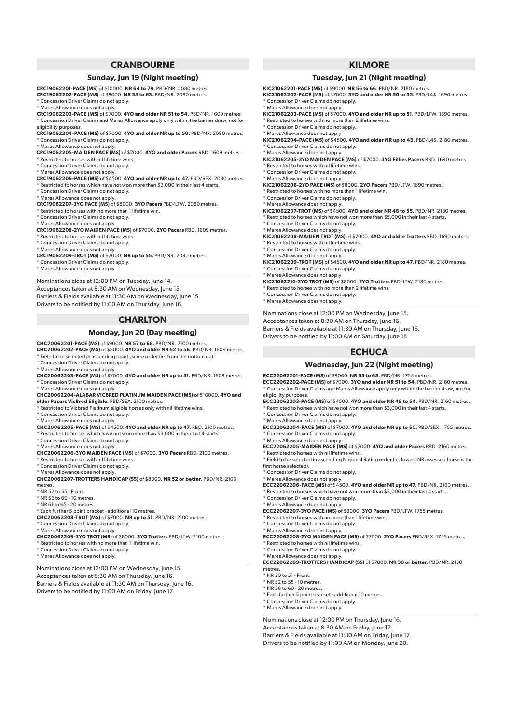# **CRANBOURNE**

#### **Sunday, Jun 19 (Night meeting)**

**CRC19062201-PACE (MS)** of \$10000. **NR 64 to 79.** PBD/NR. 2080 metres. **CRC19062202-PACE (MS)** of \$8000. **NR 55 to 63.** PBD/NR. 2080 metres.

\* Concession Driver Claims do not apply.

\* Mares Allowance does not apply.

**CRC19062203-PACE (MS)** of \$7000. **4YO and older NR 51 to 54.** PBD/NR. 1609 metres. \* Concession Driver Claims and Mares Allowance apply only within the barrier draw, not for

eligibility purposes. **CRC19062204-PACE (MS)** of \$7000. **4YO and older NR up to 50.** PBD/NR. 2080 metres. Concession Driver Claims do not apply.

\* Mares Allowance does not apply. **CRC19062205-MAIDEN PACE (MS)** of \$7000. **4YO and older Pacers** RBD. 1609 metres.

- \* Restricted to horses with nil lifetime wins.
- \* Concession Driver Claims do not apply.
- \* Mares Allowance does not apply.

**CRC19062206-PACE (MS)** of \$4500. **4YO and older NR up to 47.** PBD/SEX. 2080 metres. \* Restricted to horses which have not won more than \$3,000 in their last 4 starts.

- \* Concession Driver Claims do not apply.
- \* Mares Allowance does not apply.

**CRC19062207-3YO PACE (MS)** of \$8000. **3YO Pacers** PBD/LTW. 2080 metres.

- \* Restricted to horses with no more than 1 lifetime win.
- \* Concession Driver Claims do not apply.
- 

\* Mares Allowance does not apply. **CRC19062208-2YO MAIDEN PACE (MS)** of \$7000. **2YO Pacers** RBD. 1609 metres. Restricted to horses with nil lifetime wins.

- \* Concession Driver Claims do not apply.
- \* Mares Allowance does not apply.

**CRC19062209-TROT (MS)** of \$7000. **NR up to 55.** PBD/NR. 2080 metres.

\* Concession Driver Claims do not apply.

\* Mares Allowance does not apply.

Nominations close at 12:00 PM on Tuesday, June 14. Acceptances taken at 8:30 AM on Wednesday, June 15. Barriers & Fields available at 11:30 AM on Wednesday, June 15. Drivers to be notified by 11:00 AM on Thursday, June 16.

#### **CHARLTON**

#### **Monday, Jun 20 (Day meeting)**

## **CHC20062201-PACE (MS)** of \$9000. **NR 57 to 68.** PBD/NR. 2100 metres.

**CHC20062202-PACE (MS)** of \$8000. **4YO and older NR 52 to 56.** PBD/NR. 1609 metres. \* Field to be selected in ascending points score order (ie. from the bottom up).

\* Concession Driver Claims do not apply.

- \* Mares Allowance does not apply.
- **CHC20062203-PACE (MS)** of \$7000. **4YO and older NR up to 51.** PBD/NR. 1609 metres. \* Concession Driver Claims do not apply.
- \* Mares Allowance does not apply.

**CHC20062204-ALABAR VICBRED PLATINUM MAIDEN PACE (MS)** of \$10000. **4YO and older Pacers VicBred Eligible.** PBD/SEX. 2100 metres.

- \* Restricted to Vicbred Platinum eligible horses only with nil lifetime wins.
- \* Concession Driver Claims do not apply.
- 
- \* Mares Allowance does not apply. **CHC20062205-PACE (MS)** of \$4500. **4YO and older NR up to 47.** RBD. 2100 metres.
- Restricted to horses which have not won more than \$3,000 in their last 4 starts.
- \* Concession Driver Claims do not apply.

\* Mares Allowance does not apply.

**CHC20062206-3YO MAIDEN PACE (MS)** of \$7000. **3YO Pacers** RBD. 2100 metres.

\* Restricted to horses with nil lifetime wins.

\* Concession Driver Claims do not apply. \* Mares Allowance does not apply.

**CHC20062207-TROTTERS HANDICAP (SS)** of \$8000. **NR 52 or better.** PBD/NR. 2100 metres.

 $*$  NR 52 to 55 - Front.

\* NR 56 to 60 - 10 metres. \* NR 61 to 65 - 20 metres.

\* Each further 5 point bracket - additional 10 metres.

**CHC20062208-TROT (MS)** of \$7000. **NR up to 51.** PBD/NR. 2100 metres.

\* Concession Driver Claims do not apply.

\* Mares Allowance does not apply.

- **CHC20062209-3YO TROT (MS)** of \$8000. **3YO Trotters** PBD/LTW. 2100 metres.
- \* Restricted to horses with no more than 1 lifetime win. \* Concession Driver Claims do not apply.
- \* Mares Allowance does not apply.

Nominations close at 12:00 PM on Wednesday, June 15. Acceptances taken at 8:30 AM on Thursday, June 16. Barriers & Fields available at 11:30 AM on Thursday, June 16. Drivers to be notified by 11:00 AM on Friday, June 17.

# **KILMORE**

#### **Tuesday, Jun 21 (Night meeting)**

**KIC21062201-PACE (MS)** of \$9000. **NR 56 to 66.** PBD/NR. 2180 metres. **KIC21062202-PACE (MS)** of \$7000. **3YO and older NR 50 to 55.** PBD/L4\$. 1690 metres. \* Concession Driver Claims do not apply.

\* Mares Allowance does not apply.

**KIC21062203-PACE (MS)** of \$7000. **4YO and older NR up to 51.** PBD/LTW. 1690 metres.

\* Restricted to horses with no more than 2 lifetime wins.

\* Concession Driver Claims do not apply. \* Mares Allowance does not apply.

**KIC21062204-PACE (MS)** of \$4500. **4YO and older NR up to 43.** PBD/L4\$. 2180 metres. \* Concession Driver Claims do not apply.

\* Mares Allowance does not apply.

**KIC21062205-3YO MAIDEN PACE (MS)** of \$7000. **3YO Fillies Pacers** RBD. 1690 metres. \* Restricted to horses with nil lifetime wins.

\* Concession Driver Claims do not apply.

\* Mares Allowance does not apply.

- **KIC21062206-2YO PACE (MS)** of \$8000. **2YO Pacers** PBD/LTW. 1690 metres.
- \* Restricted to horses with no more than 1 lifetime win.

\* Concession Driver Claims do not apply.

\* Mares Allowance does not apply. **KIC21062207-TROT (MS)** of \$4500. **4YO and older NR 48 to 55.** PBD/NR. 2180 metres. Restricted to horses which have not won more than \$5,000 in their last 4 starts.

\* Concession Driver Claims do not apply. \* Mares Allowance does not apply.

**KIC21062208-MAIDEN TROT (MS)** of \$7000. **4YO and older Trotters** RBD. 1690 metres. \* Restricted to horses with nil lifetime wins.

\* Concession Driver Claims do not apply.

\* Mares Allowance does not apply.

**KIC21062209-TROT (MS)** of \$4500. **4YO and older NR up to 47.** PBD/NR. 2180 metres. \* Concession Driver Claims do not apply.

\* Mares Allowance does not apply. **KIC21062210-2YO TROT (MS)** of \$8000. **2YO Trotters** PBD/LTW. 2180 metres.

\* Restricted to horses with no more than 2 lifetime wins.

\* Concession Driver Claims do not apply.

\* Mares Allowance does not apply.

Nominations close at 12:00 PM on Wednesday, June 15.

Acceptances taken at 8:30 AM on Thursday, June 16.

Barriers & Fields available at 11:30 AM on Thursday, June 16.

Drivers to be notified by 11:00 AM on Saturday, June 18.

# **ECHUCA**

# **Wednesday, Jun 22 (Night meeting)**

**ECC22062201-PACE (MS)** of \$9000. **NR 55 to 65.** PBD/NR. 1755 metres. **ECC22062202-PACE (MS)** of \$7000. **3YO and older NR 51 to 54.** PBD/NR. 2160 metres. \* Concession Driver Claims and Mares Allowance apply only within the barrier draw, not for eligibility purposes.

**ECC22062203-PACE (MS)** of \$4500. **4YO and older NR 48 to 54.** PBD/NR. 2160 metres.

- $^{\star}$  Restricted to horses which have not won more than \$3,000 in their last 4 starts.
- \* Concession Driver Claims do not apply.

\* Mares Allowance does not apply. **ECC22062204-PACE (MS)** of \$7000. **4YO and older NR up to 50.** PBD/SEX. 1755 metres. Concession Driver Claims do not apply.

\* Mares Allowance does not apply. **ECC22062205-MAIDEN PACE (MS)** of \$7000. **4YO and older Pacers** RBD. 2160 metres.  $*$  Restricted to horses with nil lifetime wins.

\* Field to be selected in ascending National Rating order (ie. lowest NR assessed horse is the first horse selected).

\* Mares Allowance does not apply. **ECC22062206-PACE (MS)** of \$4500. **4YO and older NR up to 47.** PBD/NR. 2160 metres. \* Restricted to horses which have not won more than \$3,000 in their last 4 starts.

**ECC22062208-2YO MAIDEN PACE (MS)** of \$7000. **2YO Pacers** PBD/SEX. 1755 metres.

**ECC22062209-TROTTERS HANDICAP (SS)** of \$7000. **NR 30 or better.** PBD/NR. 2130

**ECC22062207-3YO PACE (MS)** of \$8000. **3YO Pacers** PBD/LTW. 1755 metres.

\* Concession Driver Claims do not apply.

\* Concession Driver Claims do not apply. \* Mares Allowance does not apply.

\* Restricted to horses with nil lifetime wins. \* Concession Driver Claims do not apply. \* Mares Allowance does not apply.

metres. \* NR 30 to 51 - Front. \* NR 52 to 55 - 10 metres. \* NR 56 to 60 - 20 metres.

\* Restricted to horses with no more than 1 lifetime win. \* Concession Driver Claims do not apply. \* Mares Allowance does not apply.

\* Each further 5 point bracket - additional 10 metres. \* Concession Driver Claims do not apply. \* Mares Allowance does not apply.

Nominations close at 12:00 PM on Thursday, June 16. Acceptances taken at 8:30 AM on Friday, June 17. Barriers & Fields available at 11:30 AM on Friday, June 17. Drivers to be notified by 11:00 AM on Monday, June 20.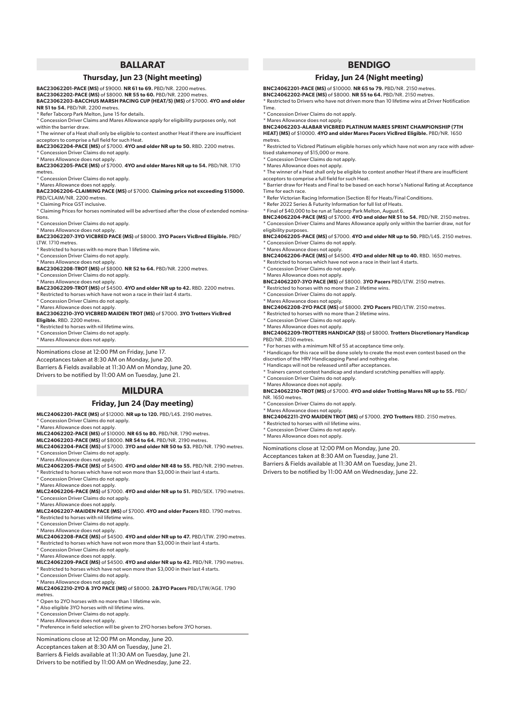# **BALLARAT**

#### **Thursday, Jun 23 (Night meeting)**

**BAC23062201-PACE (MS)** of \$9000. **NR 61 to 69.** PBD/NR. 2200 metres.

**BAC23062202-PACE (MS)** of \$8000. **NR 55 to 60.** PBD/NR. 2200 metres.

**BAC23062203-BACCHUS MARSH PACING CUP (HEAT/S) (MS)** of \$7000. **4YO and older NR 51 to 54.** PBD/NR. 2200 metres.

\* Refer Tabcorp Park Melton, June 15 for details.

\* Concession Driver Claims and Mares Allowance apply for eligibility purposes only, not within the barrier draw.

\* The winner of a Heat shall only be eligible to contest another Heat if there are insufficient acceptors to comprise a full field for such Heat.

**BAC23062204-PACE (MS)** of \$7000. **4YO and older NR up to 50.** RBD. 2200 metres. \* Concession Driver Claims do not apply.

\* Mares Allowance does not apply.

**BAC23062205-PACE (MS)** of \$7000. **4YO and older Mares NR up to 54.** PBD/NR. 1710 metres.

- Concession Driver Claims do not apply.
- \* Mares Allowance does not apply.

**BAC23062206-CLAIMING PACE (MS)** of \$7000. **Claiming price not exceeding \$15000.** PBD/CLAIM/NR. 2200 metres.

\* Claiming Price GST inclusive.

\* Claiming Prices for horses nominated will be advertised after the close of extended nominations. \* Concession Driver Claims do not apply.

\* Mares Allowance does not apply.

**BAC23062207-3YO VICBRED PACE (MS)** of \$8000. **3YO Pacers VicBred Eligible.** PBD/ LTW. 1710 metres.

\* Restricted to horses with no more than 1 lifetime win.

\* Concession Driver Claims do not apply.

\* Mares Allowance does not apply. **BAC23062208-TROT (MS)** of \$8000. **NR 52 to 64.** PBD/NR. 2200 metres.

\* Concession Driver Claims do not apply.

\* Mares Allowance does not apply.

**BAC23062209-TROT (MS)** of \$4500. **4YO and older NR up to 42.** RBD. 2200 metres.

Restricted to horses which have not won a race in their last 4 starts.

\* Concession Driver Claims do not apply. \* Mares Allowance does not apply.

**BAC23062210-3YO VICBRED MAIDEN TROT (MS)** of \$7000. **3YO Trotters VicBred Eligible.** RBD. 2200 metres.

\* Restricted to horses with nil lifetime wins.

\* Concession Driver Claims do not apply.

\* Mares Allowance does not apply.

Nominations close at 12:00 PM on Friday, June 17.

Acceptances taken at 8:30 AM on Monday, June 20. Barriers & Fields available at 11:30 AM on Monday, June 20. Drivers to be notified by 11:00 AM on Tuesday, June 21.

#### **MILDURA**

#### **Friday, Jun 24 (Day meeting)**

**MLC24062201-PACE (MS)** of \$12000. **NR up to 120.** PBD/L4\$. 2190 metres. \* Concession Driver Claims do not apply.

\* Mares Allowance does not apply.

**MLC24062202-PACE (MS)** of \$10000. **NR 65 to 80.** PBD/NR. 1790 metres.

**MLC24062203-PACE (MS)** of \$8000. **NR 54 to 64.** PBD/NR. 2190 metres. **MLC24062204-PACE (MS)** of \$7000. **3YO and older NR 50 to 53.** PBD/NR. 1790 metres.

Concession Driver Claims do not apply.

- \* Mares Allowance does not apply. **MLC24062205-PACE (MS)** of \$4500. **4YO and older NR 48 to 55.** PBD/NR. 2190 metres.  $^{\kappa}$  Restricted to horses which have not won more than \$3,000 in their last 4 starts.
- \* Concession Driver Claims do not apply.

\* Mares Allowance does not apply.

**MLC24062206-PACE (MS)** of \$7000. **4YO and older NR up to 51.** PBD/SEX. 1790 metres. \* Concession Driver Claims do not apply.

\* Mares Allowance does not apply.

**MLC24062207-MAIDEN PACE (MS)** of \$7000. **4YO and older Pacers** RBD. 1790 metres.

\* Restricted to horses with nil lifetime wins.

- \* Concession Driver Claims do not apply.
- \* Mares Allowance does not apply.

**MLC24062208-PACE (MS)** of \$4500. **4YO and older NR up to 47.** PBD/LTW. 2190 metres.

- \* Restricted to horses which have not won more than \$3,000 in their last 4 starts. \* Concession Driver Claims do not apply.
- 

\* Mares Allowance does not apply.

**MLC24062209-PACE (MS)** of \$4500. **4YO and older NR up to 42.** PBD/NR. 1790 metres. \* Restricted to horses which have not won more than \$3,000 in their last 4 starts.

\* Concession Driver Claims do not apply.

\* Mares Allowance does not apply. **MLC24062210-2YO & 3YO PACE (MS)** of \$8000. **2&3YO Pacers** PBD/LTW/AGE. 1790

metres.

\* Open to 2YO horses with no more than 1 lifetime win.

\* Also eligible 3YO horses with nil lifetime wins.

\* Concession Driver Claims do not apply.

\* Mares Allowance does not apply.

\* Preference in field selection will be given to 2YO horses before 3YO horses.

Nominations close at 12:00 PM on Monday, June 20. Acceptances taken at 8:30 AM on Tuesday, June 21. Barriers & Fields available at 11:30 AM on Tuesday, June 21.

Drivers to be notified by 11:00 AM on Wednesday, June 22.

# **BENDIGO**

#### **Friday, Jun 24 (Night meeting)**

**BNC24062201-PACE (MS)** of \$10000. **NR 65 to 79.** PBD/NR. 2150 metres. **BNC24062202-PACE (MS)** of \$8000. **NR 55 to 64.** PBD/NR. 2150 metres.

\* Restricted to Drivers who have not driven more than 10 lifetime wins at Driver Notification Time.

\* Concession Driver Claims do not apply.

\* Mares Allowance does not apply.

**BNC24062203-ALABAR VICBRED PLATINUM MARES SPRINT CHAMPIONSHIP (7TH HEAT) (MS)** of \$10000. **4YO and older Mares Pacers VicBred Eligible.** PBD/NR. 1650 metres

\* Restricted to Vicbred Platinum eligible horses only which have not won any race with advertised stakemoney of \$15,000 or more.

\* Concession Driver Claims do not apply.

\* Mares Allowance does not apply.

\* The winner of a Heat shall only be eligible to contest another Heat if there are insufficient acceptors to comprise a full field for such Heat.

\* Barrier draw for Heats and Final to be based on each horse's National Rating at Acceptance Time for each race.

\* Refer Victorian Racing Information (Section 8) for Heats/Final Conditions.

\* Refer 2022 Series & Futurity Information for full list of Heats.

\* Final of \$40,000 to be run at Tabcorp Park Melton, August 6.

**BNC24062204-PACE (MS)** of \$7000. **4YO and older NR 51 to 54.** PBD/NR. 2150 metres. \* Concession Driver Claims and Mares Allowance apply only within the barrier draw, not for eligibility purposes.

**BNC24062205-PACE (MS)** of \$7000. **4YO and older NR up to 50.** PBD/L4\$. 2150 metres. \* Concession Driver Claims do not apply.

\* Mares Allowance does not apply.

**BNC24062206-PACE (MS)** of \$4500. **4YO and older NR up to 40.** RBD. 1650 metres.

\* Restricted to horses which have not won a race in their last 4 starts.

\* Concession Driver Claims do not apply.

\* Mares Allowance does not apply.

**BNC24062207-3YO PACE (MS)** of \$8000. **3YO Pacers** PBD/LTW. 2150 metres. \* Restricted to horses with no more than 2 lifetime wins.

Concession Driver Claims do not apply. \* Mares Allowance does not apply.

**BNC24062208-2YO PACE (MS)** of \$8000. **2YO Pacers** PBD/LTW. 2150 metres.

\* Restricted to horses with no more than 2 lifetime wins.

\* Concession Driver Claims do not apply.

\* Mares Allowance does not apply.

**BNC24062209-TROTTERS HANDICAP (SS)** of \$8000. **Trotters Discretionary Handicap**  PBD/NR. 2150 metres.

\* For horses with a minimum NR of 55 at acceptance time only.

\* Handicaps for this race will be done solely to create the most even contest based on the discretion of the HRV Handicapping Panel and nothing else.

\* Handicaps will not be released until after acceptances.

\* Trainers cannot contest handicap and standard scratching penalties will apply. \* Concession Driver Claims do not apply.

**BNC24062211-2YO MAIDEN TROT (MS)** of \$7000. **2YO Trotters** RBD. 2150 metres.

\* Mares Allowance does not apply.

\* Restricted to horses with nil lifetime wins. \* Concession Driver Claims do not apply. \* Mares Allowance does not apply.

**BNC24062210-TROT (MS)** of \$7000. **4YO and older Trotting Mares NR up to 55.** PBD/

Nominations close at 12:00 PM on Monday, June 20. Acceptances taken at 8:30 AM on Tuesday, June 21. Barriers & Fields available at 11:30 AM on Tuesday, June 21. Drivers to be notified by 11:00 AM on Wednesday, June 22.

NR. 1650 metres. \* Concession Driver Claims do not apply.

\* Mares Allowance does not apply.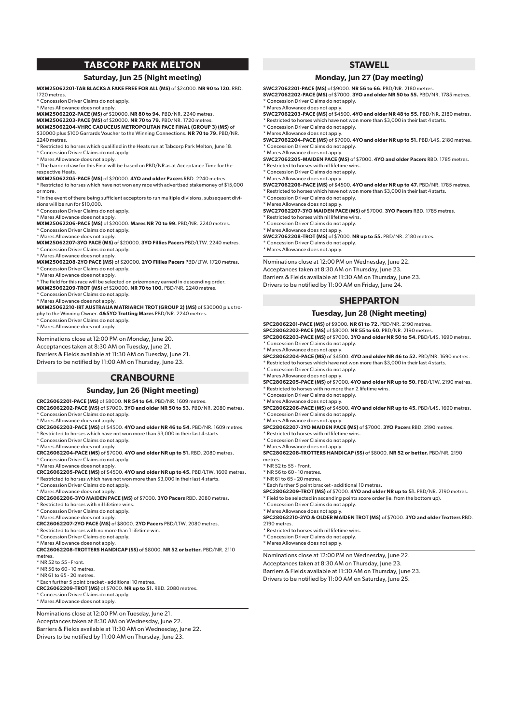# **TABCORP PARK MELTON**

#### **Saturday, Jun 25 (Night meeting)**

**MXM25062201-TAB BLACKS A FAKE FREE FOR ALL (MS)** of \$24000. **NR 90 to 120.** RBD. 1720 metres.

\* Example 22:<br>Concession Driver Claims do not apply.

\* Mares Allowance does not apply.

**MXM25062202-PACE (MS)** of \$20000. **NR 80 to 94.** PBD/NR. 2240 metres. **MXM25062203-PACE (MS)** of \$20000. **NR 70 to 79.** PBD/NR. 1720 metres.

**MXM25062204-VHRC CADUCEUS METROPOLITAN PACE FINAL (GROUP 3) (MS)** of \$30000 plus \$100 Garrards Voucher to the Winning Connections. **NR 70 to 79.** PBD/NR. 2240 metres.

\* Restricted to horses which qualified in the Heats run at Tabcorp Park Melton, June 18. \* Concession Driver Claims do not apply.

\* Mares Allowance does not apply.

\* The barrier draw for this Final will be based on PBD/NR as at Acceptance Time for the respective Heats.

**MXM25062205-PACE (MS)** of \$20000. **4YO and older Pacers** RBD. 2240 metres. \* Restricted to horses which have not won any race with advertised stakemoney of \$15,000 or more.

\* In the event of there being sufficient acceptors to run multiple divisions, subsequent divisions will be run for \$10,000.

\* Concession Driver Claims do not apply.

\* Mares Allowance does not apply.

**MXM25062206-PACE (MS)** of \$20000. **Mares NR 70 to 99.** PBD/NR. 2240 metres. \* Concession Driver Claims do not apply.

\* Mares Allowance does not apply.

**MXM25062207-3YO PACE (MS)** of \$20000. **3YO Fillies Pacers** PBD/LTW. 2240 metres. \* Concession Driver Claims do not apply.

\* Mares Allowance does not apply.

**MXM25062208-2YO PACE (MS)** of \$20000. **2YO Fillies Pacers** PBD/LTW. 1720 metres. \* Concession Driver Claims do not apply.

\* Mares Allowance does not apply.

\* The field for this race will be selected on prizemoney earned in descending order.

**MXM25062209-TROT (MS)** of \$20000. **NR 70 to 100.** PBD/NR. 2240 metres.

Concession Driver Claims do not apply.

\* Mares Allowance does not apply. **MXM25062210-IRT AUSTRALIA MATRIARCH TROT (GROUP 2) (MS)** of \$30000 plus trophy to the Winning Owner. **4&5YO Trotting Mares** PBD/NR. 2240 metres.

\* Concession Driver Claims do not apply.

\* Mares Allowance does not apply.

Nominations close at 12:00 PM on Monday, June 20. Acceptances taken at 8:30 AM on Tuesday, June 21. Barriers & Fields available at 11:30 AM on Tuesday, June 21. Drivers to be notified by 11:00 AM on Thursday, June 23.

# **CRANBOURNE**

#### **Sunday, Jun 26 (Night meeting)**

#### **CRC26062201-PACE (MS)** of \$8000. **NR 54 to 64.** PBD/NR. 1609 metres.

**CRC26062202-PACE (MS)** of \$7000. **3YO and older NR 50 to 53.** PBD/NR. 2080 metres. Concession Driver Claims do not apply.

\* Mares Allowance does not apply. **CRC26062203-PACE (MS)** of \$4500. **4YO and older NR 46 to 54.** PBD/NR. 1609 metres.

Restricted to horses which have not won more than \$3,000 in their last 4 starts.

\* Concession Driver Claims do not apply.

\* Mares Allowance does not apply.

**CRC26062204-PACE (MS)** of \$7000. **4YO and older NR up to 51.** RBD. 2080 metres. Concession Driver Claims do not apply.

\* Mares Allowance does not apply.

**CRC26062205-PACE (MS)** of \$4500. **4YO and older NR up to 45.** PBD/LTW. 1609 metres.  $^*$  Restricted to horses which have not won more than  $\$3,000$  in their last  $4$  starts.

\* Concession Driver Claims do not apply.

\* Mares Allowance does not apply.

**CRC26062206-3YO MAIDEN PACE (MS)** of \$7000. **3YO Pacers** RBD. 2080 metres.

\* Restricted to horses with nil lifetime wins.

\* Concession Driver Claims do not apply.

\* Mares Allowance does not apply.

**CRC26062207-2YO PACE (MS)** of \$8000. **2YO Pacers** PBD/LTW. 2080 metres.

\* Restricted to horses with no more than 1 lifetime win.

\* Concession Driver Claims do not apply.

\* Mares Allowance does not apply. **CRC26062208-TROTTERS HANDICAP (SS)** of \$8000. **NR 52 or better.** PBD/NR. 2110 metres.

\* NR 52 to 55 - Front.

\* NR 56 to 60 - 10 metres.

\* NR 61 to 65 - 20 metres.

\* Each further 5 point bracket - additional 10 metres.

**CRC26062209-TROT (MS)** of \$7000. **NR up to 51.** RBD. 2080 metres.

\* Concession Driver Claims do not apply.

\* Mares Allowance does not apply.

Nominations close at 12:00 PM on Tuesday, June 21. Acceptances taken at 8:30 AM on Wednesday, June 22. Barriers & Fields available at 11:30 AM on Wednesday, June 22. Drivers to be notified by 11:00 AM on Thursday, June 23.

# **STAWELL**

#### **Monday, Jun 27 (Day meeting)**

**SWC27062201-PACE (MS)** of \$9000. **NR 56 to 66.** PBD/NR. 2180 metres. **SWC27062202-PACE (MS)** of \$7000. **3YO and older NR 50 to 55.** PBD/NR. 1785 metres. \* Concession Driver Claims do not apply.

\* Mares Allowance does not apply. **SWC27062203-PACE (MS)** of \$4500. **4YO and older NR 48 to 55.** PBD/NR. 2180 metres.

\* Restricted to horses which have not won more than \$3,000 in their last 4 starts.

\* Concession Driver Claims do not apply. \* Mares Allowance does not apply.

**SWC27062204-PACE (MS)** of \$7000. **4YO and older NR up to 51.** PBD/L4\$. 2180 metres. \* Concession Driver Claims do not apply.

\* Mares Allowance does not apply.

**SWC27062205-MAIDEN PACE (MS)** of \$7000. **4YO and older Pacers** RBD. 1785 metres. \* Restricted to horses with nil lifetime wins.

\* Concession Driver Claims do not apply.

\* Mares Allowance does not apply.

**SWC27062206-PACE (MS)** of \$4500. **4YO and older NR up to 47.** PBD/NR. 1785 metres. \* Restricted to horses which have not won more than \$3,000 in their last 4 starts. \* Concession Driver Claims do not apply.

\* Mares Allowance does not apply. **SWC27062207-3YO MAIDEN PACE (MS)** of \$7000. **3YO Pacers** RBD. 1785 metres.

\* Restricted to horses with nil lifetime wins.

\* Concession Driver Claims do not apply.

\* Mares Allowance does not apply.

**SWC27062208-TROT (MS)** of \$7000. **NR up to 55.** PBD/NR. 2180 metres. \* Concession Driver Claims do not apply.

\* Mares Allowance does not apply.

Nominations close at 12:00 PM on Wednesday, June 22. Acceptances taken at 8:30 AM on Thursday, June 23. Barriers & Fields available at 11:30 AM on Thursday, June 23. Drivers to be notified by 11:00 AM on Friday, June 24.

# **SHEPPARTON**

### **Tuesday, Jun 28 (Night meeting)**

**SPC28062201-PACE (MS)** of \$9000. **NR 61 to 72.** PBD/NR. 2190 metres.

**SPC28062202-PACE (MS)** of \$8000. **NR 55 to 60.** PBD/NR. 2190 metres. **SPC28062203-PACE (MS)** of \$7000. **3YO and older NR 50 to 54.** PBD/L4\$. 1690 metres. \* Concession Driver Claims do not apply.

\* Mares Allowance does not apply.

**SPC28062204-PACE (MS)** of \$4500. **4YO and older NR 46 to 52.** PBD/NR. 1690 metres.

\* Restricted to horses which have not won more than \$3,000 in their last 4 starts.

\* Concession Driver Claims do not apply.

\* Mares Allowance does not apply. **SPC28062205-PACE (MS)** of \$7000. **4YO and older NR up to 50.** PBD/LTW. 2190 metres. \* Restricted to horses with no more than 2 lifetime wins.

\* Concession Driver Claims do not apply.

\* Mares Allowance does not apply. **SPC28062206-PACE (MS)** of \$4500. **4YO and older NR up to 45.** PBD/L4\$. 1690 metres. \* Concession Driver Claims do not apply.

\* Mares Allowance does not apply. **SPC28062207-3YO MAIDEN PACE (MS)** of \$7000. **3YO Pacers** RBD. 2190 metres.

\* Restricted to horses with nil lifetime wins.

\* Concession Driver Claims do not apply.

\* Mares Allowance does not apply.

\* Concession Driver Claims do not apply. \* Mares Allowance does not apply.

 $*$  Restricted to horses with nil lifetime wins. \* Concession Driver Claims do not apply. \* Mares Allowance does not apply.

**SPC28062208-TROTTERS HANDICAP (SS)** of \$8000. **NR 52 or better.** PBD/NR. 2190 metres.

\* NR 52 to 55 - Front.

2190 metres.

\* NR 56 to 60 - 10 metres.

\* NR 61 to 65 - 20 metres.

\* Each further 5 point bracket - additional 10 metres. **SPC28062209-TROT (MS)** of \$7000. **4YO and older NR up to 51.** PBD/NR. 2190 metres.

**SPC28062210-3YO & OLDER MAIDEN TROT (MS)** of \$7000. **3YO and older Trotters** RBD.

\* Field to be selected in ascending points score order (ie. from the bottom up).

Nominations close at 12:00 PM on Wednesday, June 22. Acceptances taken at 8:30 AM on Thursday, June 23. Barriers & Fields available at 11:30 AM on Thursday, June 23. Drivers to be notified by 11:00 AM on Saturday, June 25.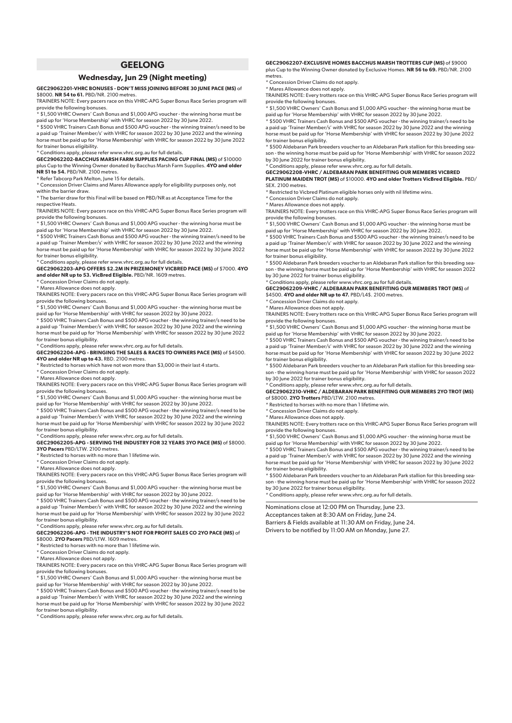# **GEELONG**

#### **Wednesday, Jun 29 (Night meeting)**

**GEC29062201-VHRC BONUSES - DON'T MISS JOINING BEFORE 30 JUNE PACE (MS)** of

\$8000. **NR 54 to 61.** PBD/NR, 2100 metre TRAINERS NOTE: Every pacers race on this VHRC-APG Super Bonus Race Series program will

provide the following bonuses. \* \$1,500 VHRC Owners' Cash Bonus and \$1,000 APG voucher - the winning horse must be

paid up for 'Horse Membership' with VHRC for season 2022 by 30 June 2022.

\* \$500 VHRC Trainers Cash Bonus and \$500 APG voucher - the winning trainer/s need to be a paid up 'Trainer Member/s' with VHRC for season 2022 by 30 June 2022 and the winning

horse must be paid up for 'Horse Membership' with VHRC for season 2022 by 30 June 2022 for trainer bonus eligibility. \* Conditions apply, please refer www.vhrc.org.au for full details.

**GEC29062202-BACCHUS MARSH FARM SUPPLIES PACING CUP FINAL (MS)** of \$10000 plus Cup to the Winning Owner donated by Bacchus Marsh Farm Supplies. **4YO and older**

**NR 51 to 54.** PBD/NR. 2100 metres.

\* Refer Tabcorp Park Melton, June 15 for details.

\* Concession Driver Claims and Mares Allowance apply for eligibility purposes only, not within the barrier draw.

\* The barrier draw for this Final will be based on PBD/NR as at Acceptance Time for the

respective Heats.

TRAINERS NOTE: Every pacers race on this VHRC-APG Super Bonus Race Series program will provide the following bonuses.

\* \$1,500 VHRC Owners' Cash Bonus and \$1,000 APG voucher - the winning horse must be<br>paid up for 'Horse Membership' with VHRC for season 2022 by 30 June 2022.<br>\* \$500 VHRC Trainers Cash Bonus and \$500 APG voucher - the winni

a paid up 'Trainer Member/s' with VHRC for season 2022 by 30 June 2022 and the winning horse must be paid up for 'Horse Membership' with VHRC for season 2022 by 30 June 2022 for trainer bonus eligibility.

\* Conditions apply, please refer www.vhrc.org.au for full details.

**GEC29062203-APG OFFERS \$2.2M IN PRIZEMONEY VICBRED PACE (MS)** of \$7000. **4YO and older NR up to 53. VicBred Eligible.** PBD/NR. 1609 metres.

\* Concession Driver Claims do not apply.

\* Mares Allowance does not apply. TRAINERS NOTE: Every pacers race on this VHRC-APG Super Bonus Race Series program will provide the following bonuses. \* \$1,500 VHRC Owners' Cash Bonus and \$1,000 APG voucher - the winning horse must be

paid up for 'Horse Membership' with VHRC for season 2022 by 30 June 2022.

\* \$500 VHRC Trainers Cash Bonus and \$500 APG voucher - the winning trainer/s need to be a paid up 'Trainer Member/s' with VHRC for season 2022 by 30 June 2022 and the winning horse must be paid up for 'Horse Membership' with VHRC for season 2022 by 30 June 2022 for trainer bonus eligibility.

## \* Conditions apply, please refer www.vhrc.org.au for full details. **GEC29062204-APG - BRINGING THE SALES & RACES TO OWNERS PACE (MS)** of \$4500. **4YO and older NR up to 43.** RBD. 2100 metres.

\* Restricted to horses which have not won more than \$3,000 in their last 4 starts.

\* Concession Driver Claims do not apply.

\* Mares Allowance does not apply.

TRAINERS NOTE: Every pacers race on this VHRC-APG Super Bonus Race Series program will provide the following bonuses.

\* \$1,500 VHRC Owners' Cash Bonus and \$1,000 APG voucher - the winning horse must be

paid up for 'Horse Membership' with VHRC for season 2022 by 30 June 2022. \* \$500 VHRC Trainers Cash Bonus and \$500 APG voucher - the winning trainer/s need to be a paid up 'Trainer Member/s' with VHRC for season 2022 by 30 June 2022 and the winning

horse must be paid up for 'Horse Membership' with VHRC for season 2022 by 30 June 2022 for trainer bonus eligibility.

# \* Conditions apply, please refer www.vhrc.org.au for full details.

**GEC29062205-APG - SERVING THE INDUSTRY FOR 32 YEARS 3YO PACE (MS)** of \$8000. **3YO Pacers** PBD/LTW. 2100 metres.

\* Restricted to horses with no more than 1 lifetime win.

\* Concession Driver Claims do not apply.

\* Mares Allowance does not apply.

TRAINERS NOTE: Every pacers race on this VHRC-APG Super Bonus Race Series program will provide the following bonuses.

\* \$1,500 VHRC Owners' Cash Bonus and \$1,000 APG voucher - the winning horse must be

paid up for 'Horse Membership' with VHRC for season 2022 by 30 June 2022. \* \$500 VHRC Trainers Cash Bonus and \$500 APG voucher - the winning trainer/s need to be a paid up 'Trainer Member/s' with VHRC for season 2022 by 30 June 2022 and the winning horse must be paid up for 'Horse Membership' with VHRC for season 2022 by 30 June 2022 for trainer bonus eligibility.

\* Conditions apply, please refer www.vhrc.org.au for full details. **GEC29062206-APG - THE INDUSTRY'S NOT FOR PROFIT SALES CO 2YO PACE (MS)** of \$8000. **2YO Pacers** PBD/LTW. 1609 metres.

\* Restricted to horses with no more than 1 lifetime win.

\* Concession Driver Claims do not apply.

\* Mares Allowance does not apply.

TRAINERS NOTE: Every pacers race on this VHRC-APG Super Bonus Race Series program will provide the following bonuses.

\* \$1,500 VHRC Owners' Cash Bonus and \$1,000 APG voucher - the winning horse must be

paid up for 'Horse Membership' with VHRC for season 2022 by 30 June 2022. \* \$500 VHRC Trainers Cash Bonus and \$500 APG voucher - the winning trainer/s need to be a paid up 'Trainer Member/s' with VHRC for season 2022 by 30 June 2022 and the winning horse must be paid up for 'Horse Membership' with VHRC for season 2022 by 30 June 2022 for trainer bonus eligibility.

\* Conditions apply, please refer www.vhrc.org.au for full details.

**GEC29062207-EXCLUSIVE HOMES BACCHUS MARSH TROTTERS CUP (MS)** of \$9000 plus Cup to the Winning Owner donated by Exclusive Homes. **NR 56 to 69.** PBD/NR. 2100 metres.

Concession Driver Claims do not apply

\* Mares Allowance does not apply.

TRAINERS NOTE: Every trotters race on this VHRC-APG Super Bonus Race Series program will

provide the following bonuses. \* \$1,500 VHRC Owners' Cash Bonus and \$1,000 APG voucher - the winning horse must be paid up for 'Horse Membership' with VHRC for season 2022 by 30 June 2022. \* \$500 VHRC Trainers Cash Bonus and \$500 APG voucher - the winning trainer/s need to be

a paid up 'Trainer Member/s' with VHRC for season 2022 by 30 June 2022 and the winning horse must be paid up for 'Horse Membership' with VHRC for season 2022 by 30 June 2022 for trainer bonus eligibility.

\* \$500 Aldebaran Park breeders voucher to an Aldebaran Park stallion for this breeding season - the winning horse must be paid up for 'Horse Membership' with VHRC for season 2022 by 30 June 2022 for trainer bonus eligibility.

\* Conditions apply, please refer www.vhrc.org.au for full details.

**GEC29062208-VHRC / ALDEBARAN PARK BENEFITING OUR MEMBERS VICBRED PLATINUM MAIDEN TROT (MS)** of \$10000. **4YO and older Trotters VicBred Eligible.** PBD/ SEX. 2100 metres.

\* Restricted to Vicbred Platinum eligible horses only with nil lifetime wins.

\* Concession Driver Claims do not apply.

\* Mares Allowance does not apply.

TRAINERS NOTE: Every trotters race on this VHRC-APG Super Bonus Race Series program will provide the following bonuses. \* \$1,500 VHRC Owners' Cash Bonus and \$1,000 APG voucher - the winning horse must be

paid up for 'Horse Membership' with VHRC for season 2022 by 30 June 2022. \* \$500 VHRC Trainers Cash Bonus and \$500 APG voucher - the winning trainer/s need to be a paid up 'Trainer Member/s' with VHRC for season 2022 by 30 June 2022 and the winning horse must be paid up for 'Horse Membership' with VHRC for season 2022 by 30 June 2022 for trainer bonus eligibility.

\* \$500 Aldebaran Park breeders voucher to an Aldebaran Park stallion for this breeding season - the winning horse must be paid up for 'Horse Membership' with VHRC for season 2022 by 30 June 2022 for trainer bonus eligibility.

\* Conditions apply, please refer www.vhrc.org.au for full details.

**GEC29062209-VHRC / ALDEBARAN PARK BENEFITING OUR MEMBERS TROT (MS)** of \$4500. **4YO and older NR up to 47.** PBD/L4\$. 2100 metres.

\* Concession Driver Claims do not apply.

\* Mares Allowance does not apply.

TRAINERS NOTE: Every trotters race on this VHRC-APG Super Bonus Race Series program will provide the following bonuses. \* \$1,500 VHRC Owners' Cash Bonus and \$1,000 APG voucher - the winning horse must be

paid up for 'Horse Membership' with VHRC for season 2022 by 30 June 2022. \* \$500 VHRC Trainers Cash Bonus and \$500 APG voucher - the winning trainer/s need to be

a paid up 'Trainer Member/s' with VHRC for season 2022 by 30 June 2022 and the winnir horse must be paid up for 'Horse Membership' with VHRC for season 2022 by 30 June 2022 for trainer bonus eligibility.

\* \$500 Aldebaran Park breeders voucher to an Aldebaran Park stallion for this breeding season - the winning horse must be paid up for 'Horse Membership' with VHRC for season 2022 by 30 June 2022 for trainer bonus eligibility.

.<br>Conditions apply, please refer www.vhrc.org.au for full details

**GEC29062210-VHRC / ALDEBARAN PARK BENEFITING OUR MEMBERS 2YO TROT (MS)** of \$8000. **2YO Trotters** PBD/LTW. 2100 metres.

\* Restricted to horses with no more than 1 lifetime win.

\* Concession Driver Claims do not apply.

\* Mares Allowance does not apply.

TRAINERS NOTE: Every trotters race on this VHRC-APG Super Bonus Race Series program will

provide the following bonuses. \* \$1,500 VHRC Owners' Cash Bonus and \$1,000 APG voucher - the winning horse must be aid up for 'Horse Membership' with VHRC for season 2022 by 30 June 2022.

\* \$500 VHRC Trainers Cash Bonus and \$500 APG voucher - the winning trainer/s need to be a paid up 'Trainer Member/s' with VHRC for season 2022 by 30 June 2022 and the winning horse must be paid up for 'Horse Membership' with VHRC for season 2022 by 30 June 2022 for trainer bonus eligibility. \* \$500 Aldebaran Park breeders voucher to an Aldebaran Park stallion for this breeding sea-

son - the winning horse must be paid up for 'Horse Membership' with VHRC for season 2022 by 30 June 2022 for trainer bonus eligibility. \* Conditions apply, please refer www.vhrc.org.au for full details.

Nominations close at 12:00 PM on Thursday, June 23. Acceptances taken at 8:30 AM on Friday, June 24. Barriers & Fields available at 11:30 AM on Friday, June 24. Drivers to be notified by 11:00 AM on Monday, June 27.